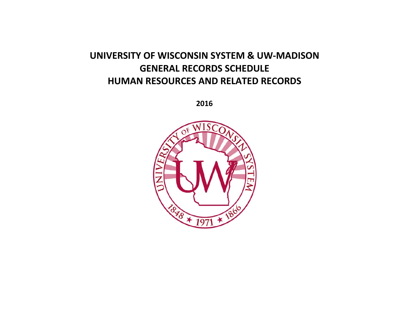# **UNIVERSITY OF WISCONSIN SYSTEM & UW-MADISON GENERAL RECORDS SCHEDULE HUMAN RESOURCES AND RELATED RECORDS**

**2016**

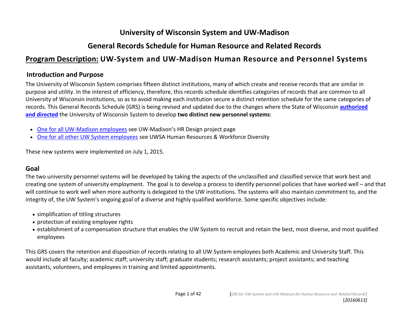### **General Records Schedule for Human Resource and Related Records**

### **Program Description: UW-System and UW-Madison Human Resource and Personnel Systems**

#### **Introduction and Purpose**

The University of Wisconsin System comprises fifteen distinct institutions, many of which create and receive records that are similar in purpose and utility. In the interest of efficiency, therefore, this records schedule identifies categories of records that are common to all University of Wisconsin institutions, so as to avoid making each institution secure a distinct retention schedule for the same categories of records. This General Records Schedule (GRS) is being revised and updated due to the changes where the State of Wisconsin **[authorized](http://docs.legis.wi.gov/statutes/statutes/36/115)  [and directed](http://docs.legis.wi.gov/statutes/statutes/36/115)** the University of Wisconsin System to develop **two distinct new personnel systems**:

- [One for all UW-Madison employees](http://hrdesign.wisc.edu/) see UW-Madison's HR Design project page
- [One for all other UW System employees](https://www.wisconsin.edu/ohrwd/) see UWSA Human Resources & Workforce Diversity

These new systems were implemented on July 1, 2015.

#### **Goal**

The two university personnel systems will be developed by taking the aspects of the unclassified and classified service that work best and creating one system of university employment. The goal is to develop a process to identify personnel policies that have worked well – and that will continue to work well when more authority is delegated to the UW institutions. The systems will also maintain commitment to, and the integrity of, the UW System's ongoing goal of a diverse and highly qualified workforce. Some specific objectives include:

- simplification of titling structures
- protection of existing employee rights
- establishment of a compensation structure that enables the UW System to recruit and retain the best, most diverse, and most qualified employees

This GRS covers the retention and disposition of records relating to all UW System employees both Academic and University Staff. This would include all faculty; academic staff; university staff; graduate students; research assistants; project assistants; and teaching assistants, volunteers, and employees in training and limited appointments.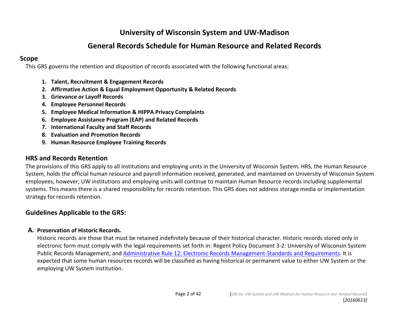#### **General Records Schedule for Human Resource and Related Records**

#### **Scope**

This GRS governs the retention and disposition of records associated with the following functional areas:

- **1. Talent, Recruitment & Engagement Records**
- **2. Affirmative Action & Equal Employment Opportunity & Related Records**
- **3. Grievance or Layoff Records**
- **4. Employee Personnel Records**
- **5. Employee Medical Information & HIPPA Privacy Complaints**
- **6. Employee Assistance Program (EAP) and Related Records**
- **7. International Faculty and Staff Records**
- **8. Evaluation and Promotion Records**
- **9. Human Resource Employee Training Records**

#### **HRS and Records Retention**

The provisions of this GRS apply to all institutions and employing units in the University of Wisconsin System. HRS, the Human Resource System, holds the official human resource and payroll information received, generated, and maintained on University of Wisconsin System employees, however; UW institutions and employing units will continue to maintain Human Resource records including supplemental systems. This means there is a shared responsibility for records retention. This GRS does not address storage media or implementation strategy for records retention.

#### **Guidelines Applicable to the GRS:**

#### **A. Preservation of Historic Records.**

Historic records are those that must be retained indefinitely because of their historical character. Historic records stored only in electronic form must comply with the legal requirements set forth in: Regent Policy Document 3-2: University of Wisconsin System Public Records Management; and Administrative [Rule 12: Electronic Records Management-Standards and Requirements.](http://publicrecordsboard.wi.gov/category.asp?linkcatid=3026&linkid=1527&locid=165) It is expected that some human resources records will be classified as having historical or permanent value to either UW System or the employing UW System institution.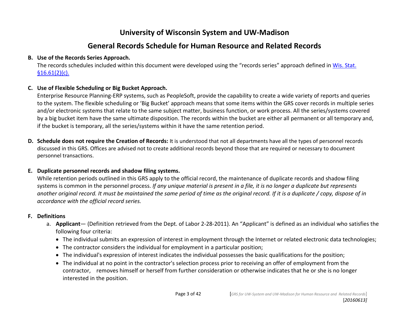#### **General Records Schedule for Human Resource and Related Records**

#### **B. Use of the Records Series Approach.**

The records schedules included within this document were developed using the "records series" approach defined in [Wis. Stat.](https://docs.legis.wisconsin.gov/statutes/statutes/16/III/61)   $$16.61(2)(c).$ 

#### **C. Use of Flexible Scheduling or Big Bucket Approach.**

Enterprise Resource Planning-ERP systems, such as PeopleSoft, provide the capability to create a wide variety of reports and queries to the system. The flexible scheduling or 'Big Bucket' approach means that some items within the GRS cover records in multiple series and/or electronic systems that relate to the same subject matter, business function, or work process. All the series/systems covered by a big bucket item have the same ultimate disposition. The records within the bucket are either all permanent or all temporary and, if the bucket is temporary, all the series/systems within it have the same retention period.

**D. Schedule does not require the Creation of Records:** It is understood that not all departments have all the types of personnel records discussed in this GRS. Offices are advised not to create additional records beyond those that are required or necessary to document personnel transactions.

#### **E. Duplicate personnel records and shadow filing systems.**

While retention periods outlined in this GRS apply to the official record, the maintenance of duplicate records and shadow filing systems is common in the personnel process. *If any unique material is present in a file, it is no longer a duplicate but represents another original record. It must be maintained the same period of time as the original record. If it is a duplicate / copy, dispose of in accordance with the official record series.*

#### **F. Definitions**

- a. **Applicant** (Definition retrieved from the Dept. of Labor 2-28-2011). An "Applicant" is defined as an individual who satisfies the following four criteria:
	- The individual submits an expression of interest in employment through the Internet or related electronic data technologies;
	- The contractor considers the individual for employment in a particular position;
	- The individual's expression of interest indicates the individual possesses the basic qualifications for the position;
	- The individual at no point in the contractor's selection process prior to receiving an offer of employment from the contractor, removes himself or herself from further consideration or otherwise indicates that he or she is no longer interested in the position.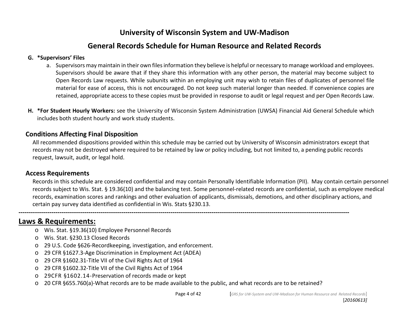#### **General Records Schedule for Human Resource and Related Records**

#### **G. \*Supervisors' Files**

- a. Supervisors may maintain in their own files information they believe is helpful or necessary to manage workload and employees. Supervisors should be aware that if they share this information with any other person, the material may become subject to Open Records Law requests. While subunits within an employing unit may wish to retain files of duplicates of personnel file material for ease of access, this is not encouraged. Do not keep such material longer than needed. If convenience copies are retained, appropriate access to these copies must be provided in response to audit or legal request and per Open Records Law.
- **H. \*For Student Hourly Workers:** see the University of Wisconsin System Administration (UWSA) Financial Aid General Schedule which includes both student hourly and work study students.

#### **Conditions Affecting Final Disposition**

All recommended dispositions provided within this schedule may be carried out by University of Wisconsin administrators except that records may not be destroyed where required to be retained by law or policy including, but not limited to, a pending public records request, lawsuit, audit, or legal hold.

#### **Access Requirements**

Records in this schedule are considered confidential and may contain Personally Identifiable Information (PII). May contain certain personnel records subject to Wis. Stat. § 19.36(10) and the balancing test. Some personnel-related records are confidential, such as employee medical records, examination scores and rankings and other evaluation of applicants, dismissals, demotions, and other disciplinary actions, and certain pay survey data identified as confidential in Wis. Stats §230.13.

#### **Laws & Requirements:**

- o Wis. Stat. §19.36(10) Employee Personnel Records
- o Wis. Stat. §230.13 Closed Records
- o 29 U.S. Code §626-Recordkeeping, investigation, and enforcement.
- o 29 CFR §1627.3-Age Discrimination in Employment Act (ADEA)
- o 29 CFR §1602.31-Title VII of the Civil Rights Act of 1964
- o 29 CFR §1602.32-Title VII of the Civil Rights Act of 1964
- o 29CFR §1602.14-Preservation of records made or kept
- o 20 CFR §655.760(a)-What records are to be made available to the public, and what records are to be retained?

**-----------------------------------------------------------------------------------------------------------------------------------------------------------------**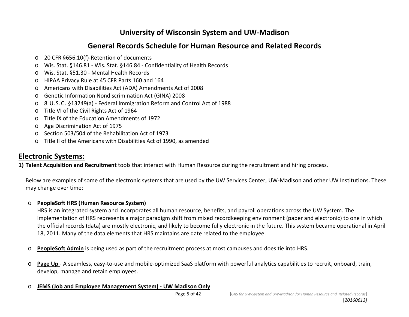#### **General Records Schedule for Human Resource and Related Records**

- o 20 CFR §656.10(f)-Retention of documents
- o Wis. Stat. §146.81 Wis. Stat. §146.84 Confidentiality of Health Records
- o Wis. Stat. §51.30 Mental Health Records
- o HIPAA Privacy Rule at 45 CFR Parts 160 and 164
- o Americans with Disabilities Act (ADA) Amendments Act of 2008
- o Genetic Information Nondiscrimination Act (GINA) 2008
- o 8 U.S.C. §13249(a) Federal Immigration Reform and Control Act of 1988
- o Title VI of the Civil Rights Act of 1964
- o Title IX of the Education Amendments of 1972
- o Age Discrimination Act of 1975
- o Section 503/504 of the Rehabilitation Act of 1973
- o Title II of the Americans with Disabilities Act of 1990, as amended

## **Electronic Systems:**

**1) Talent Acquisition and Recruitment** tools that interact with Human Resource during the recruitment and hiring process.

Below are examples of some of the electronic systems that are used by the UW Services Center, UW-Madison and other UW Institutions. These may change over time:

#### o **PeopleSoft [HRS \(Human Resource System\)](https://www.ohr.wisc.edu/hrs/documents/hrs-faculty-pi-sup.pdf)**

HRS is an integrated system and incorporates all human resource, benefits, and payroll operations across the UW System. The implementation of HRS represents a major paradigm shift from mixed recordkeeping environment (paper and electronic) to one in which the official records (data) are mostly electronic, and likely to become fully electronic in the future. This system became operational in April 18, 2011. Many of the data elements that HRS maintains are date related to the employee.

- o **PeopleSoft Admin** is being used as part of the recruitment process at most campuses and does tie into HRS.
- o **Page Up**  A seamless, easy-to-use and mobile-optimized SaaS platform with powerful analytics capabilities to recruit, onboard, train, develop, manage and retain employees.

#### o **JEMS (Job and Employee Management System) - UW Madison Only**

[*20160613]*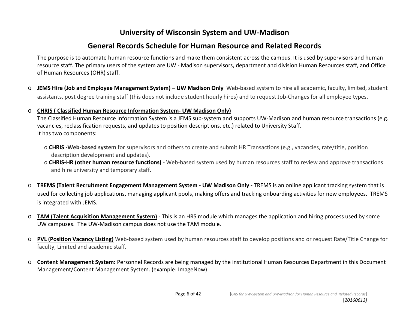#### **General Records Schedule for Human Resource and Related Records**

The purpose is to automate human resource functions and make them consistent across the campus. It is used by supervisors and human resource staff. The primary users of the system are UW - Madison supervisors, department and division Human Resources staff, and Office of Human Resources (OHR) staff.

- o **JEMS Hire (Job and Employee Management System) UW Madison Only** Web-based system to hire all academic, faculty, limited, student assistants, post degree training staff (this does not include student hourly hires) and to request Job-Changes for all employee types.
- o **CHRIS ( Classified Human Resource Information System- UW Madison Only)**

The Classified Human Resource Information System is a JEMS sub-system and supports UW-Madison and human resource transactions (e.g. vacancies, reclassification requests, and updates to position descriptions, etc.) related to University Staff. It has two components:

- o **CHRIS -Web-based system** for supervisors and others to create and submit HR Transactions (e.g., vacancies, rate/title, position description development and updates).
- o **CHRIS-HR (other human resource functions)** Web-based system used by human resources staff to review and approve transactions and hire university and temporary staff.
- o **TREMS (Talent Recruitment Engagement Management System UW Madison Only** TREMS is an online applicant tracking system that is used for collecting job applications, managing applicant pools, making offers and tracking onboarding activities for new employees. TREMS is integrated with JEMS.
- o **TAM (Talent Acquisition Management System)** This is an HRS module which manages the application and hiring process used by some UW campuses. The UW-Madison campus does not use the TAM module.
- o **PVL (Position Vacancy Listing)** Web-based system used by human resources staff to develop positions and or request Rate/Title Change for faculty, Limited and academic staff.
- o **Content Management System:** Personnel Records are being managed by the institutional Human Resources Department in this Document Management/Content Management System. (example: ImageNow)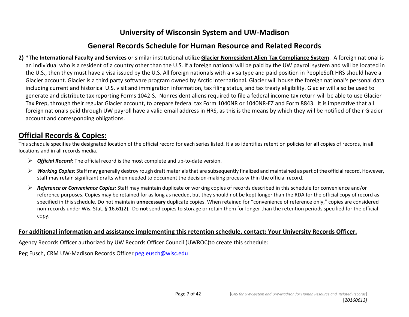#### **General Records Schedule for Human Resource and Related Records**

**2) \*The International Faculty and Services** or similar institutional utilize **Glacier Nonresident Alien Tax Compliance System**. A foreign national is an individual who is a resident of a country other than the U.S. If a foreign national will be paid by the UW payroll system and will be located in the U.S., then they must have a visa issued by the U.S. All foreign nationals with a visa type and paid position in PeopleSoft HRS should have a Glacier account. Glacier is a third party software program owned by Arctic International. Glacier will house the foreign national's personal data including current and historical U.S. visit and immigration information, tax filing status, and tax treaty eligibility. Glacier will also be used to generate and distribute tax reporting Forms 1042-S. Nonresident aliens required to file a federal income tax return will be able to use Glacier Tax Prep, through their regular Glacier account, to prepare federal tax Form 1040NR or 1040NR-EZ and Form 8843. It is imperative that all foreign nationals paid through UW payroll have a valid email address in HRS, as this is the means by which they will be notified of their Glacier account and corresponding obligations.

#### **Official Records & Copies:**

This schedule specifies the designated location of the official record for each series listed. It also identifies retention policies for **all** copies of records, in all locations and in all records media.

- *Official Record:* The official record is the most complete and up-to-date version.
- *Working Copies:* Staff may generally destroy rough draft materials that are subsequently finalized and maintained as part of the official record. However, staff may retain significant drafts when needed to document the decision-making process within the official record.
- *Reference or Convenience Copies:* Staff may maintain duplicate or working copies of records described in this schedule for convenience and/or reference purposes. Copies may be retained for as long as needed, but they should not be kept longer than the RDA for the official copy of record as specified in this schedule. Do not maintain **unnecessary** duplicate copies. When retained for "convenience of reference only," copies are considered non-records under Wis. Stat. § 16.61(2). Do **not** send copies to storage or retain them for longer than the retention periods specified for the official copy.

#### **For additional information and assistance implementing this retention schedule, contact: Your University Records Officer.**

Agency Records Officer authorized by UW Records Officer Council (UWROC)to create this schedule:

Peg Eusch, CRM UW-Madison Records Officer [peg.eusch@wisc.edu](mailto:peg.eusch@wisc.edu)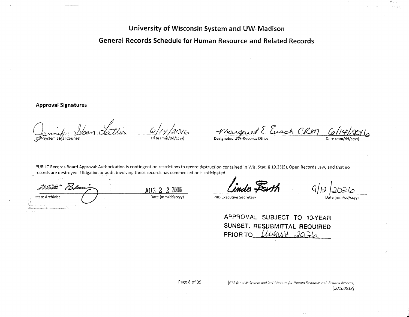General Records Schedule for Human Resource and Related Records

**Approval Signatures** 

 $61/4$ UM-System Legal Counsel  $D$ ate  $Im \sqrt{d}$ 

Mangaret E. Eusch CRM  $\frac{1}{20}$  $\mathcal{L}_{2}$ 

Date (mm/dd

PUBLIC Records Board Approval: Authorization is contingent on restrictions to record destruction contained in Wis. Stat. § 19.35(5), Open Records Law, and that no records are destroyed if litigation or audit involving these records has commenced or is anticipated.

73d  $AUG$   $2$   $2$   $2016$ <br>Date (mm/dd/ccyy) State Archivist

**PRB Executive Secretary** 

| APPROVAL SUBJECT TO 10-YEAR                          |  |  |
|------------------------------------------------------|--|--|
|                                                      |  |  |
| SUNSET. RESUBMITTAL REQUIRED<br>PRIOR TO Mugust 2026 |  |  |
|                                                      |  |  |

[GRS for UW-System and UW-Madison for Humon Resource and Related Records]  $[20160613]$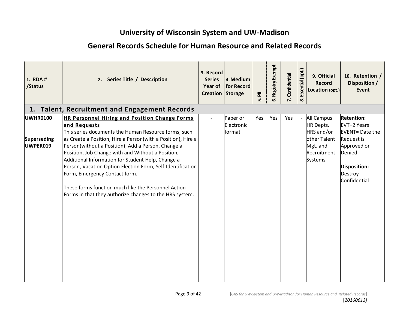| 1. RDA #<br>/Status                 | 2. Series Title / Description                                                                                                                                                                                                                                                                                                                                                                                                                                                                                                                                                 | 3. Record<br><b>Series</b><br>Year of<br><b>Creation Storage</b> | 4. Medium<br>for Record          | $\overline{\overline{\mathtt{a}}}$<br>மி | 6. Registry Exempt | Confidential<br>7. | Essential (opt.)<br>ಯ | 9. Official<br><b>Record</b><br>Location (opt.)                                                           | 10. Retention /<br>Disposition /<br><b>Event</b>                                                                                                     |
|-------------------------------------|-------------------------------------------------------------------------------------------------------------------------------------------------------------------------------------------------------------------------------------------------------------------------------------------------------------------------------------------------------------------------------------------------------------------------------------------------------------------------------------------------------------------------------------------------------------------------------|------------------------------------------------------------------|----------------------------------|------------------------------------------|--------------------|--------------------|-----------------------|-----------------------------------------------------------------------------------------------------------|------------------------------------------------------------------------------------------------------------------------------------------------------|
|                                     | 1. Talent, Recruitment and Engagement Records                                                                                                                                                                                                                                                                                                                                                                                                                                                                                                                                 |                                                                  |                                  |                                          |                    |                    |                       |                                                                                                           |                                                                                                                                                      |
| UWHR0100<br>Superseding<br>UWPER019 | <b>HR Personnel Hiring and Position Change Forms</b><br>and Requests<br>This series documents the Human Resource forms, such<br>as Create a Position, Hire a Person(with a Position), Hire a<br>Person(without a Position), Add a Person, Change a<br>Position, Job Change with and Without a Position,<br>Additional Information for Student Help, Change a<br>Person, Vacation Option Election Form, Self-Identification<br>Form, Emergency Contact form.<br>These forms function much like the Personnel Action<br>Forms in that they authorize changes to the HRS system. |                                                                  | Paper or<br>Electronic<br>format | Yes                                      | Yes                | Yes                |                       | <b>All Campus</b><br>HR Depts.<br>HRS and/or<br>other Talent<br>Mgt. and<br>Recruitment<br><b>Systems</b> | <b>Retention:</b><br><b>EVT+2 Years</b><br><b>EVENT</b> = Date the<br>Request is<br>Approved or<br>Denied<br>Disposition:<br>Destroy<br>Confidential |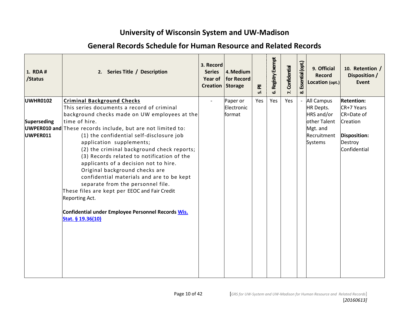| 1. RDA #<br>/Status | 2. Series Title / Description                                                                                                                                                                                                                                                                                                                                                                                                                                               | 3. Record<br><b>Series</b><br>Year of<br><b>Creation Storage</b> | 4. Medium<br>for Record | $\overline{\overline{\mathbf{a}}}$<br>ம் | Registry Exempt<br>ശ് | Confidential<br>$\mathbf{r}$ | Essential (opt.<br>ळ | 9. Official<br><b>Record</b><br>Location (opt.) | 10. Retention /<br>Disposition /<br><b>Event</b> |
|---------------------|-----------------------------------------------------------------------------------------------------------------------------------------------------------------------------------------------------------------------------------------------------------------------------------------------------------------------------------------------------------------------------------------------------------------------------------------------------------------------------|------------------------------------------------------------------|-------------------------|------------------------------------------|-----------------------|------------------------------|----------------------|-------------------------------------------------|--------------------------------------------------|
| <b>UWHR0102</b>     | <b>Criminal Background Checks</b>                                                                                                                                                                                                                                                                                                                                                                                                                                           |                                                                  | Paper or                | Yes                                      | Yes                   | Yes                          |                      | <b>All Campus</b>                               | <b>Retention:</b>                                |
|                     | This series documents a record of criminal                                                                                                                                                                                                                                                                                                                                                                                                                                  |                                                                  | Electronic              |                                          |                       |                              |                      | HR Depts.                                       | CR+7 Years                                       |
|                     | background checks made on UW employees at the                                                                                                                                                                                                                                                                                                                                                                                                                               |                                                                  | format                  |                                          |                       |                              |                      | HRS and/or                                      | CR=Date of                                       |
| <b>Superseding</b>  | time of hire.                                                                                                                                                                                                                                                                                                                                                                                                                                                               |                                                                  |                         |                                          |                       |                              |                      | other Talent                                    | Creation                                         |
|                     | <b>UWPER010 and</b> These records include, but are not limited to:                                                                                                                                                                                                                                                                                                                                                                                                          |                                                                  |                         |                                          |                       |                              |                      | Mgt. and                                        |                                                  |
| UWPER011            | (1) the confidential self-disclosure job<br>application supplements;<br>(2) the criminal background check reports;<br>(3) Records related to notification of the<br>applicants of a decision not to hire.<br>Original background checks are<br>confidential materials and are to be kept<br>separate from the personnel file.<br>These files are kept per EEOC and Fair Credit<br>Reporting Act.<br>Confidential under Employee Personnel Records Wis.<br>Stat. § 19.36(10) |                                                                  |                         |                                          |                       |                              |                      | Recruitment<br>Systems                          | Disposition:<br>Destroy<br>Confidential          |
|                     |                                                                                                                                                                                                                                                                                                                                                                                                                                                                             |                                                                  |                         |                                          |                       |                              |                      |                                                 |                                                  |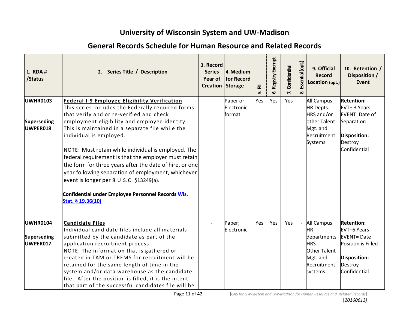| 1. RDA #<br>/Status                               | 2. Series Title / Description                                                                                                                                                                                                                                                                                                                                                                                                                                                                                                                                                                                                              | 3. Record<br><b>Series</b><br>Year of<br>Creation Storage | 4. Medium<br>for Record          | ᇍ<br>ம் | Registry Exempt<br>ھ. | Confidential<br>$\mathbf{r}$ | Essential (opt.)<br>ळ | 9. Official<br><b>Record</b><br>Location (opt.)                                                                          | 10. Retention /<br>Disposition /<br><b>Event</b>                                                                              |
|---------------------------------------------------|--------------------------------------------------------------------------------------------------------------------------------------------------------------------------------------------------------------------------------------------------------------------------------------------------------------------------------------------------------------------------------------------------------------------------------------------------------------------------------------------------------------------------------------------------------------------------------------------------------------------------------------------|-----------------------------------------------------------|----------------------------------|---------|-----------------------|------------------------------|-----------------------|--------------------------------------------------------------------------------------------------------------------------|-------------------------------------------------------------------------------------------------------------------------------|
| <b>UWHR0103</b><br><b>Superseding</b><br>UWPER018 | <b>Federal I-9 Employee Eligibility Verification</b><br>This series includes the Federally required forms<br>that verify and or re-verified and check<br>employment eligibility and employee identity.<br>This is maintained in a separate file while the<br>individual is employed.<br>NOTE: Must retain while individual is employed. The<br>federal requirement is that the employer must retain<br>the form for three years after the date of hire, or one<br>year following separation of employment, whichever<br>event is longer per 8 U.S.C. §13249(a).<br>Confidential under Employee Personnel Records Wis.<br>Stat. § 19.36(10) |                                                           | Paper or<br>Electronic<br>format | Yes     | Yes                   | Yes                          |                       | <b>All Campus</b><br><b>HR Depts.</b><br>HRS and/or<br>other Talent<br>Mgt. and<br>Recruitment<br><b>Systems</b>         | <b>Retention:</b><br>EVT+ 3 Years<br><b>EVENT=Date of</b><br>Separation<br><b>Disposition:</b><br>Destroy<br>Confidential     |
| <b>UWHR0104</b><br><b>Superseding</b><br>UWPER017 | <b>Candidate Files</b><br>Individual candidate files include all materials<br>submitted by the candidate as part of the<br>application recruitment process.<br>NOTE: The information that is gathered or<br>created in TAM or TREMS for recruitment will be<br>retained for the same length of time in the<br>system and/or data warehouse as the candidate<br>file. After the position is filled, it is the intent<br>that part of the successful candidates file will be                                                                                                                                                                 |                                                           | Paper;<br>Electronic             | Yes     | Yes                   | Yes                          |                       | <b>All Campus</b><br><b>HR</b><br>departments<br><b>HRS</b><br><b>Other Talent</b><br>Mgt. and<br>Recruitment<br>systems | <b>Retention:</b><br>EVT+6 Years<br><b>EVENT=Date</b><br>Position is Filled<br><b>Disposition:</b><br>Destroy<br>Confidential |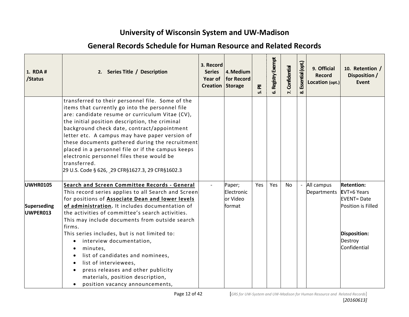| 1. RDA #<br>/Status                               | 2. Series Title / Description                                                                                                                                                                                                                                                                                                                                                                                                                                                                                                      | 3. Record<br><b>Series</b><br>Creation Storage | 4. Medium<br>Year of   for Record          | 훈<br>ம் | Registry Exempt<br>ശ് | Confidential | Essential (opt.<br>ထံ | 9. Official<br><b>Record</b><br>Location (opt.) | 10. Retention /<br>Disposition /<br><b>Event</b>                            |
|---------------------------------------------------|------------------------------------------------------------------------------------------------------------------------------------------------------------------------------------------------------------------------------------------------------------------------------------------------------------------------------------------------------------------------------------------------------------------------------------------------------------------------------------------------------------------------------------|------------------------------------------------|--------------------------------------------|---------|-----------------------|--------------|-----------------------|-------------------------------------------------|-----------------------------------------------------------------------------|
|                                                   | transferred to their personnel file. Some of the<br>items that currently go into the personnel file<br>are: candidate resume or curriculum Vitae (CV),<br>the initial position description, the criminal<br>background check date, contract/appointment<br>letter etc. A campus may have paper version of<br>these documents gathered during the recruitment<br>placed in a personnel file or if the campus keeps<br>electronic personnel files these would be<br>transferred.<br>29 U.S. Code § 626, 29 CFR§1627.3, 29 CFR§1602.3 |                                                |                                            |         |                       |              |                       |                                                 |                                                                             |
| <b>UWHR0105</b><br><b>Superseding</b><br>UWPER013 | Search and Screen Committee Records - General<br>This record series applies to all Search and Screen<br>for positions of <b>Associate Dean and lower levels</b><br>of administration. It includes documentation of<br>the activities of committee's search activities.<br>This may include documents from outside search                                                                                                                                                                                                           |                                                | Paper;<br>Electronic<br>or Video<br>format | Yes     | Yes                   | No           |                       | All campus<br>Departments                       | <b>Retention:</b><br>EVT+6 Years<br><b>EVENT=Date</b><br>Position is Filled |
|                                                   | firms.<br>This series includes, but is not limited to:<br>interview documentation,<br>$\bullet$<br>minutes,<br>list of candidates and nominees,<br>list of interviewees,<br>press releases and other publicity<br>materials, position description,<br>position vacancy announcements,                                                                                                                                                                                                                                              |                                                |                                            |         |                       |              |                       |                                                 | <b>Disposition:</b><br>Destroy<br>Confidential                              |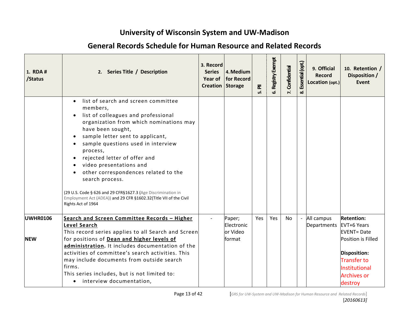| 1. RDA #<br>/Status           | 2. Series Title / Description                                                                                                                                                                                                                                                                                                                                                                                                                                                                                                 | 3. Record<br><b>Series</b><br>Year of<br>Creation Storage | 4. Medium<br>for Record                    | ᇍ<br>ம் | Registry Exempt<br>ف | Confidential<br>$\mathbf{r}$ | Essential (opt.<br>ळ | 9. Official<br><b>Record</b><br>Location (opt.) | 10. Retention /<br>Disposition /<br><b>Event</b>                                                                                                                           |
|-------------------------------|-------------------------------------------------------------------------------------------------------------------------------------------------------------------------------------------------------------------------------------------------------------------------------------------------------------------------------------------------------------------------------------------------------------------------------------------------------------------------------------------------------------------------------|-----------------------------------------------------------|--------------------------------------------|---------|----------------------|------------------------------|----------------------|-------------------------------------------------|----------------------------------------------------------------------------------------------------------------------------------------------------------------------------|
|                               | list of search and screen committee<br>members,<br>list of colleagues and professional<br>organization from which nominations may<br>have been sought,<br>sample letter sent to applicant,<br>sample questions used in interview<br>process,<br>rejected letter of offer and<br>video presentations and<br>other correspondences related to the<br>search process.<br>(29 U.S. Code § 626 and 29 CFR§1627.3 (Age Discrimination in<br>Employment Act (ADEA)) and 29 CFR §1602.32(Title VII of the Civil<br>Rights Act of 1964 |                                                           |                                            |         |                      |                              |                      |                                                 |                                                                                                                                                                            |
| <b>UWHR0106</b><br><b>NEW</b> | Search and Screen Committee Records - Higher<br><b>Level Search</b><br>This record series applies to all Search and Screen<br>for positions of Dean and higher levels of<br>administration. It includes documentation of the<br>activities of committee's search activities. This<br>may include documents from outside search<br>firms.<br>This series includes, but is not limited to:<br>• interview documentation,                                                                                                        |                                                           | Paper;<br>Electronic<br>or Video<br>format | Yes     | <b>Yes</b>           | <b>No</b>                    |                      | All campus<br>Departments                       | <b>Retention:</b><br>EVT+6 Years<br><b>EVENT=Date</b><br>Position is Filled<br><b>Disposition:</b><br><b>Transfer to</b><br>Institutional<br><b>Archives or</b><br>destroy |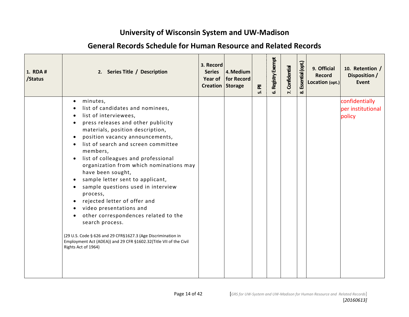| 1. RDA #<br>/Status | 2. Series Title / Description                                                                                                                                                                                                                                                                                                                                                                                                                                                                                                                                                                                                                                                                                                                  | 3. Record<br><b>Series</b><br>Year of<br>Creation Storage | 4. Medium<br>for Record | $\bar{\mathbf{z}}$<br>ທ່ | Registry Exempt<br>ശ് | Confidential<br>$\mathbf{r}$ | Essential (opt.<br>ळ | 9. Official<br><b>Record</b><br>Location (opt.) | 10. Retention /<br>Disposition /<br><b>Event</b> |
|---------------------|------------------------------------------------------------------------------------------------------------------------------------------------------------------------------------------------------------------------------------------------------------------------------------------------------------------------------------------------------------------------------------------------------------------------------------------------------------------------------------------------------------------------------------------------------------------------------------------------------------------------------------------------------------------------------------------------------------------------------------------------|-----------------------------------------------------------|-------------------------|--------------------------|-----------------------|------------------------------|----------------------|-------------------------------------------------|--------------------------------------------------|
|                     | minutes,<br>$\bullet$<br>list of candidates and nominees,<br>list of interviewees,<br>$\bullet$<br>press releases and other publicity<br>materials, position description,<br>position vacancy announcements,<br>list of search and screen committee<br>members,<br>list of colleagues and professional<br>organization from which nominations may<br>have been sought,<br>sample letter sent to applicant,<br>sample questions used in interview<br>process,<br>rejected letter of offer and<br>video presentations and<br>other correspondences related to the<br>search process.<br>(29 U.S. Code § 626 and 29 CFR§1627.3 (Age Discrimination in<br>Employment Act (ADEA)) and 29 CFR §1602.32(Title VII of the Civil<br>Rights Act of 1964) |                                                           |                         |                          |                       |                              |                      |                                                 | confidentially<br>per institutional<br>policy    |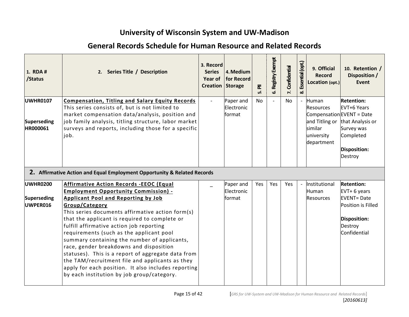| 1. RDA #<br>/Status                               | 2. Series Title / Description                                                                                                                                                                                                                                                                                                                                                                                                                                                                                                                                                                                                                                       | 3. Record<br><b>Series</b><br><b>Year of</b><br><b>Creation Storage</b> | 4. Medium<br>for Record           | $\bar{\mathbf{z}}$<br>ம் | <b>5. Registry Exempt</b> | Confidential<br>$\mathbf{r}$ | Essential (opt.<br>ळ     | 9. Official<br><b>Record</b><br>Location (opt.)                                                                 | 10. Retention /<br>Disposition /<br><b>Event</b>                                                                        |
|---------------------------------------------------|---------------------------------------------------------------------------------------------------------------------------------------------------------------------------------------------------------------------------------------------------------------------------------------------------------------------------------------------------------------------------------------------------------------------------------------------------------------------------------------------------------------------------------------------------------------------------------------------------------------------------------------------------------------------|-------------------------------------------------------------------------|-----------------------------------|--------------------------|---------------------------|------------------------------|--------------------------|-----------------------------------------------------------------------------------------------------------------|-------------------------------------------------------------------------------------------------------------------------|
| <b>UWHR0107</b><br><b>Superseding</b><br>HR000061 | <b>Compensation, Titling and Salary Equity Records</b><br>This series consists of, but is not limited to<br>market compensation data/analysis, position and<br>job family analysis, titling structure, labor market<br>surveys and reports, including those for a specific<br>job.                                                                                                                                                                                                                                                                                                                                                                                  |                                                                         | Paper and<br>Electronic<br>format | No                       |                           | <b>No</b>                    | $\overline{\phantom{a}}$ | Human<br><b>Resources</b><br>Compensation EVENT = Date<br>and Titling or<br>similar<br>university<br>department | <b>Retention:</b><br>EVT+6 Years<br>that Analysis or<br>Survey was<br>Completed<br>Disposition:<br>Destroy              |
|                                                   | 2. Affirmative Action and Equal Employment Opportunity & Related Records                                                                                                                                                                                                                                                                                                                                                                                                                                                                                                                                                                                            |                                                                         |                                   |                          |                           |                              |                          |                                                                                                                 |                                                                                                                         |
| <b>UWHR0200</b><br><b>Superseding</b><br>UWPER016 | <b>Affirmative Action Records -EEOC (Equal</b><br><b>Employment Opportunity Commission) -</b><br><b>Applicant Pool and Reporting by Job</b><br>Group/Category<br>This series documents affirmative action form(s)<br>that the applicant is required to complete or<br>fulfill affirmative action job reporting<br>requirements (such as the applicant pool<br>summary containing the number of applicants,<br>race, gender breakdowns and disposition<br>statuses). This is a report of aggregate data from<br>the TAM/recruitment file and applicants as they<br>apply for each position. It also includes reporting<br>by each institution by job group/category. |                                                                         | Paper and<br>Electronic<br>format | Yes                      | Yes                       | Yes                          |                          | Institutional<br>Human<br><b>Resources</b>                                                                      | <b>Retention:</b><br>EVT+ 6 years<br><b>EVENT=Date</b><br>Position is Filled<br>Disposition:<br>Destroy<br>Confidential |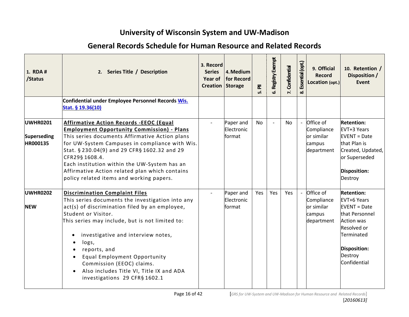| 1. RDA #<br>/Status                               | 2. Series Title / Description                                                                                                                                                                                                                                                                                                                                                                                                               | 3. Record<br><b>Series</b><br>Creation Storage | 4. Medium<br>Year of   for Record  | 훈<br>ம்   | Registry Exempt | Confidential | Essential (opt.) | 9. Official<br><b>Record</b><br>Location (opt.)               | 10. Retention /<br>Disposition /<br><b>Event</b>                                                                                                                         |
|---------------------------------------------------|---------------------------------------------------------------------------------------------------------------------------------------------------------------------------------------------------------------------------------------------------------------------------------------------------------------------------------------------------------------------------------------------------------------------------------------------|------------------------------------------------|------------------------------------|-----------|-----------------|--------------|------------------|---------------------------------------------------------------|--------------------------------------------------------------------------------------------------------------------------------------------------------------------------|
|                                                   | Confidential under Employee Personnel Records Wis.<br>Stat. § 19.36(10)                                                                                                                                                                                                                                                                                                                                                                     |                                                |                                    |           |                 |              |                  |                                                               |                                                                                                                                                                          |
| UWHR0201<br><b>Superseding</b><br><b>HR000135</b> | <b>Affirmative Action Records -EEOC (Equal</b><br><b>Employment Opportunity Commission) - Plans</b><br>This series documents Affirmative Action plans<br>for UW-System Campuses in compliance with Wis.<br>Stat. § 230.04(9) and 29 CFR§ 1602.32 and 29<br>CFR29§ 1608.4.<br>Each institution within the UW-System has an<br>Affirmative Action related plan which contains<br>policy related items and working papers.                     |                                                | Paper and<br>Electronic<br>lformat | <b>No</b> |                 | <b>No</b>    |                  | Office of<br>Compliance<br>or similar<br>campus<br>department | <b>Retention:</b><br>EVT+3 Years<br><b>EVENT</b> = Date<br>that Plan is<br>Created, Updated,<br>or Superseded<br>Disposition:<br>Destroy                                 |
| <b>UWHR0202</b><br><b>NEW</b>                     | <b>Discrimination Complaint Files</b><br>This series documents the investigation into any<br>act(s) of discrimination filed by an employee,<br>Student or Visitor.<br>This series may include, but is not limited to:<br>investigative and interview notes,<br>logs,<br>reports, and<br>Equal Employment Opportunity<br>Commission (EEOC) claims.<br>Also includes Title VI, Title IX and ADA<br>$\bullet$<br>investigations 29 CFR§ 1602.1 |                                                | Paper and<br>Electronic<br>lformat | Yes       | Yes             | Yes          |                  | Office of<br>Compliance<br>or similar<br>campus<br>department | <b>Retention:</b><br><b>EVT+6 Years</b><br>$EVENT = Date$<br>that Personnel<br><b>Action was</b><br>Resolved or<br>Terminated<br>Disposition:<br>Destroy<br>Confidential |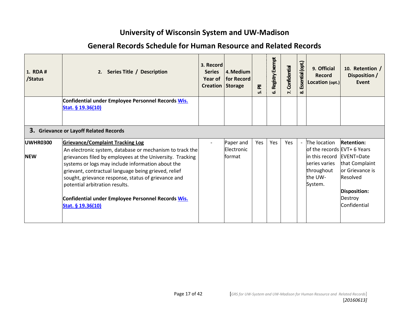| 1. RDA #<br>/Status           | 2. Series Title / Description                                                                                                                                                                                                                                                                                                                                                                                                                     | 3. Record<br><b>Series</b><br>Year of<br>Creation Storage | 4. Medium<br><b>for Record</b>     | 훈<br>மி | Registry Exempt | Confidential | Essential (opt.)<br>ळ    | 9. Official<br><b>Record</b><br>Location (opt.)                                                                               | 10. Retention /<br>Disposition /<br>Event                                                                            |
|-------------------------------|---------------------------------------------------------------------------------------------------------------------------------------------------------------------------------------------------------------------------------------------------------------------------------------------------------------------------------------------------------------------------------------------------------------------------------------------------|-----------------------------------------------------------|------------------------------------|---------|-----------------|--------------|--------------------------|-------------------------------------------------------------------------------------------------------------------------------|----------------------------------------------------------------------------------------------------------------------|
|                               | Confidential under Employee Personnel Records Wis.<br>Stat. § 19.36(10)                                                                                                                                                                                                                                                                                                                                                                           |                                                           |                                    |         |                 |              |                          |                                                                                                                               |                                                                                                                      |
|                               | 3. Grievance or Layoff Related Records                                                                                                                                                                                                                                                                                                                                                                                                            |                                                           |                                    |         |                 |              |                          |                                                                                                                               |                                                                                                                      |
| <b>UWHR0300</b><br><b>NEW</b> | <b>Grievance/Complaint Tracking Log</b><br>An electronic system, database or mechanism to track the<br>grievances filed by employees at the University. Tracking<br>systems or logs may include information about the<br>grievant, contractual language being grieved, relief<br>sought, grievance response, status of grievance and<br>potential arbitration results.<br>Confidential under Employee Personnel Records Wis.<br>Stat. § 19.36(10) |                                                           | Paper and<br>Electronic<br>lformat | Yes     | Yes             | Yes          | $\overline{\phantom{a}}$ | The location<br>of the records EVT+ 6 Years<br>in this record EVENT=Date<br>series varies<br>throughout<br>the UW-<br>System. | <b>Retention:</b><br>that Complaint<br>or Grievance is<br>Resolved<br>Disposition:<br><b>Destroy</b><br>Confidential |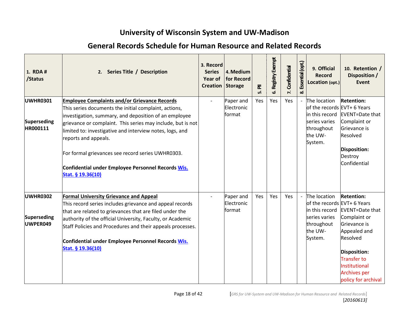| 1. RDA #<br>/Status                               | 2. Series Title / Description                                                                                                                                                                                                                                                                                                                                                                                                                            | 3. Record<br><b>Series</b><br>Year of<br><b>Creation Storage</b> | 4. Medium<br>for Record                  | $\overline{\overline{\mathtt{a}}}$<br>ம் | Registry Exempt<br>ف | Confidential<br>$\mathbf{r}$ | Essential (opt.<br>ಯ | 9. Official<br><b>Record</b><br>Location (opt.)                                                                    | 10. Retention /<br>Disposition /<br><b>Event</b>                                                                                                                                                             |
|---------------------------------------------------|----------------------------------------------------------------------------------------------------------------------------------------------------------------------------------------------------------------------------------------------------------------------------------------------------------------------------------------------------------------------------------------------------------------------------------------------------------|------------------------------------------------------------------|------------------------------------------|------------------------------------------|----------------------|------------------------------|----------------------|--------------------------------------------------------------------------------------------------------------------|--------------------------------------------------------------------------------------------------------------------------------------------------------------------------------------------------------------|
| <b>UWHR0301</b><br><b>Superseding</b><br>HR000111 | <b>Employee Complaints and/or Grievance Records</b><br>This series documents the initial complaint, actions,<br>investigation, summary, and deposition of an employee<br>grievance or complaint. This series may include, but is not<br>limited to: investigative and interview notes, logs, and<br>reports and appeals.<br>For formal grievances see record series UWHR0303.<br>Confidential under Employee Personnel Records Wis.<br>Stat. § 19.36(10) |                                                                  | Paper and<br>Electronic<br><b>format</b> | Yes                                      | Yes                  | Yes                          |                      | The location<br>of the records EVT+ 6 Years<br>in this record<br>series varies<br>throughout<br>the UW-<br>System. | <b>Retention:</b><br>EVENT=Date that<br>Complaint or<br>Grievance is<br>Resolved<br><b>Disposition:</b><br>Destroy<br>Confidential                                                                           |
| <b>UWHR0302</b><br><b>Superseding</b><br>UWPER049 | <b>Formal University Grievance and Appeal</b><br>This record series includes grievance and appeal records<br>that are related to grievances that are filed under the<br>authority of the official University, Faculty, or Academic<br>Staff Policies and Procedures and their appeals processes.<br>Confidential under Employee Personnel Records Wis.<br>Stat. § 19.36(10)                                                                              |                                                                  | Paper and<br>Electronic<br>format        | Yes                                      | Yes                  | Yes                          |                      | The location<br>of the records EVT+ 6 Years<br>in this record<br>series varies<br>throughout<br>the UW-<br>System. | <b>Retention:</b><br>EVENT=Date that<br>Complaint or<br>Grievance is<br>Appealed and<br>Resolved<br><b>Disposition:</b><br><b>Transfer to</b><br>Institutional<br><b>Archives per</b><br>policy for archival |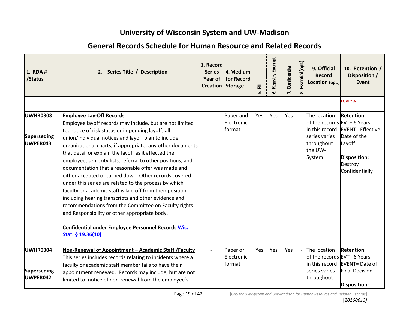| 1. RDA #<br>/Status                               | 2. Series Title / Description                                                                                                                                                                                                                                                                                                                                                                                                                                                                                                                                                                                                                                                                                                                                                                                                                                                   | 3. Record<br><b>Series</b><br>Year of<br>Creation Storage | 4. Medium<br>for Record           | ᇍ<br>ம் | Registry Exempt<br>ف | Confidential<br>$\mathbf{r}$ | Essential (opt.)<br>ळ | 9. Official<br><b>Record</b><br>Location (opt.)                                                                    | 10. Retention /<br>Disposition /<br><b>Event</b>                                                                           |
|---------------------------------------------------|---------------------------------------------------------------------------------------------------------------------------------------------------------------------------------------------------------------------------------------------------------------------------------------------------------------------------------------------------------------------------------------------------------------------------------------------------------------------------------------------------------------------------------------------------------------------------------------------------------------------------------------------------------------------------------------------------------------------------------------------------------------------------------------------------------------------------------------------------------------------------------|-----------------------------------------------------------|-----------------------------------|---------|----------------------|------------------------------|-----------------------|--------------------------------------------------------------------------------------------------------------------|----------------------------------------------------------------------------------------------------------------------------|
|                                                   |                                                                                                                                                                                                                                                                                                                                                                                                                                                                                                                                                                                                                                                                                                                                                                                                                                                                                 |                                                           |                                   |         |                      |                              |                       |                                                                                                                    | review                                                                                                                     |
| <b>UWHR0303</b><br><b>Superseding</b><br>UWPER043 | <b>Employee Lay-Off Records</b><br>Employee layoff records may include, but are not limited<br>to: notice of risk status or impending layoff; all<br>union/individual notices and layoff plan to include<br>organizational charts, if appropriate; any other documents<br>that detail or explain the layoff as it affected the<br>employee, seniority lists, referral to other positions, and<br>documentation that a reasonable offer was made and<br>either accepted or turned down. Other records covered<br>under this series are related to the process by which<br>faculty or academic staff is laid off from their position,<br>including hearing transcripts and other evidence and<br>recommendations from the Committee on Faculty rights<br>and Responsibility or other appropriate body.<br>Confidential under Employee Personnel Records Wis.<br>Stat. § 19.36(10) |                                                           | Paper and<br>Electronic<br>format | Yes     | Yes                  | Yes                          |                       | The location<br>of the records EVT+ 6 Years<br>in this record<br>series varies<br>throughout<br>the UW-<br>System. | <b>Retention:</b><br><b>EVENT</b> = Effective<br>Date of the<br>Layoff<br><b>Disposition:</b><br>Destroy<br>Confidentially |
| <b>UWHR0304</b>                                   | Non-Renewal of Appointment - Academic Staff / Faculty<br>This series includes records relating to incidents where a                                                                                                                                                                                                                                                                                                                                                                                                                                                                                                                                                                                                                                                                                                                                                             |                                                           | Paper or<br>Electronic            | Yes     | Yes                  | Yes                          |                       | The location<br>of the records EVT+ 6 Years                                                                        | <b>Retention:</b>                                                                                                          |
| <b>Superseding</b><br>UWPER042                    | faculty or academic staff member fails to have their<br>appointment renewed. Records may include, but are not<br>limited to: notice of non-renewal from the employee's                                                                                                                                                                                                                                                                                                                                                                                                                                                                                                                                                                                                                                                                                                          |                                                           | format                            |         |                      |                              |                       | in this record<br>series varies<br>throughout                                                                      | EVENT= Date of<br><b>Final Decision</b><br><b>Disposition:</b>                                                             |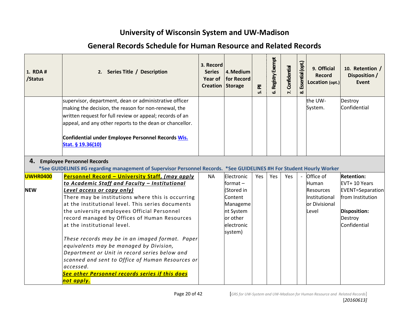| 1. RDA #<br>/Status | 2. Series Title / Description                                                                                                                                                                                                                                                                                                                                                                                            | 3. Record<br><b>Series</b><br>Year of<br><b>Creation Storage</b> | 4. Medium<br>for Record                                                             | $\bar{\mathbf{z}}$<br>மி | <b>5. Registry Exempt</b> | Confidential | Essential (opt.<br>ಯ | 9. Official<br><b>Record</b><br>Location (opt.)             | 10. Retention /<br>Disposition /<br><b>Event</b>                                       |
|---------------------|--------------------------------------------------------------------------------------------------------------------------------------------------------------------------------------------------------------------------------------------------------------------------------------------------------------------------------------------------------------------------------------------------------------------------|------------------------------------------------------------------|-------------------------------------------------------------------------------------|--------------------------|---------------------------|--------------|----------------------|-------------------------------------------------------------|----------------------------------------------------------------------------------------|
|                     | supervisor, department, dean or administrative officer<br>making the decision, the reason for non-renewal, the<br>written request for full review or appeal; records of an<br>appeal, and any other reports to the dean or chancellor.                                                                                                                                                                                   |                                                                  |                                                                                     |                          |                           |              |                      | the UW-<br>System.                                          | Destroy<br>Confidential                                                                |
|                     | Confidential under Employee Personnel Records Wis.<br>Stat. § 19.36(10)                                                                                                                                                                                                                                                                                                                                                  |                                                                  |                                                                                     |                          |                           |              |                      |                                                             |                                                                                        |
| 4.                  | <b>Employee Personnel Records</b><br>*See GUIDELINES #G regarding management of Supervisor Personnel Records. *See GUIDELINES #H For Student Hourly Worker                                                                                                                                                                                                                                                               |                                                                  |                                                                                     |                          |                           |              |                      |                                                             |                                                                                        |
| <b>UWHR0400</b>     | Personnel Record - University Staff, (may apply                                                                                                                                                                                                                                                                                                                                                                          | <b>NA</b>                                                        | Electronic                                                                          | Yes                      | Yes                       | Yes          |                      | Office of                                                   | <b>Retention:</b>                                                                      |
|                     | to Academic Staff and Faculty - Institutional                                                                                                                                                                                                                                                                                                                                                                            |                                                                  | $format -$                                                                          |                          |                           |              |                      | Human                                                       | EVT+ 10 Years                                                                          |
| <b>NEW</b>          | <b>Level access or copy only)</b><br>There may be institutions where this is occurring<br>at the institutional level. This series documents<br>the university employees Official Personnel<br>record managed by Offices of Human Resources<br>at the institutional level.<br>These records may be in an imaged format. Paper<br>equivalents may be managed by Division,<br>Department or Unit in record series below and |                                                                  | (Stored in<br>Content<br>Manageme<br>nt System<br>or other<br>electronic<br>system) |                          |                           |              |                      | <b>Resources</b><br>Institutional<br>or Divisional<br>Level | <b>EVENT=Separation</b><br>from Institution<br>Disposition:<br>Destroy<br>Confidential |
|                     | scanned and sent to Office of Human Resources or<br>accessed.<br>See other Personnel records series if this does<br><mark>not apply.</mark>                                                                                                                                                                                                                                                                              |                                                                  |                                                                                     |                          |                           |              |                      |                                                             |                                                                                        |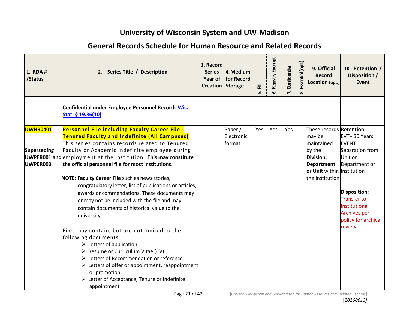| 1. RDA #<br>/Status                        | 2. Series Title / Description                                                                                                                                                                                                                                                                                                                                                                                                                                                                                                                                                                                                                                                                                                                        | 3. Record<br><b>Series</b><br><b>Year of</b><br>Creation | 4. Medium<br>for Record<br><b>Storage</b> | $\overline{\mathbf{z}}$<br>மி | 6. Registry Exempt | Confidential<br>$\mathbf{r}$ | Essential (opt.)<br>ထံ | 9. Official<br><b>Record</b><br>Location (opt.)                                                                                               | 10. Retention /<br>Disposition /<br><b>Event</b>                                                                                                                                        |
|--------------------------------------------|------------------------------------------------------------------------------------------------------------------------------------------------------------------------------------------------------------------------------------------------------------------------------------------------------------------------------------------------------------------------------------------------------------------------------------------------------------------------------------------------------------------------------------------------------------------------------------------------------------------------------------------------------------------------------------------------------------------------------------------------------|----------------------------------------------------------|-------------------------------------------|-------------------------------|--------------------|------------------------------|------------------------|-----------------------------------------------------------------------------------------------------------------------------------------------|-----------------------------------------------------------------------------------------------------------------------------------------------------------------------------------------|
|                                            | Confidential under Employee Personnel Records Wis.<br>Stat. § 19.36(10)                                                                                                                                                                                                                                                                                                                                                                                                                                                                                                                                                                                                                                                                              |                                                          |                                           |                               |                    |                              |                        |                                                                                                                                               |                                                                                                                                                                                         |
| <b>UWHR0401</b><br>Superseding<br>UWPER003 | <b>Personnel File including Faculty Career File -</b><br><b>Tenured Faculty and Indefinite (All Campuses)</b><br>This series contains records related to Tenured<br>Faculty or Academic Indefinite employee during<br>UWPER001 and employment at the Institution. This may constitute<br>the official personnel file for most institutions.<br><b>NOTE: Faculty Career File</b> such as news stories,<br>congratulatory letter, list of publications or articles,<br>awards or commendations. These documents may<br>or may not be included with the file and may<br>contain documents of historical value to the<br>university.<br>Files may contain, but are not limited to the<br>following documents:<br>$\triangleright$ Letters of application |                                                          | Paper/<br>Electronic<br>format            | Yes                           | Yes                | Yes                          |                        | These records Retention:<br>may be<br>maintained<br>by the<br>Division;<br><b>Department</b><br>or Unit within Institution<br>the Institution | EVT+30 Years<br>$EVENT =$<br>Separation from<br>Unit or<br>Department or<br>Disposition:<br><b>Transfer to</b><br>Institutional<br><b>Archives per</b><br>policy for archival<br>review |
|                                            | > Resume or Curriculum Vitae (CV)<br>▶ Letters of Recommendation or reference<br>$\triangleright$ Letters of offer or appointment, reappointment<br>or promotion<br>Example: Letter of Acceptance, Tenure or Indefinite<br>appointment                                                                                                                                                                                                                                                                                                                                                                                                                                                                                                               |                                                          |                                           |                               |                    |                              |                        |                                                                                                                                               |                                                                                                                                                                                         |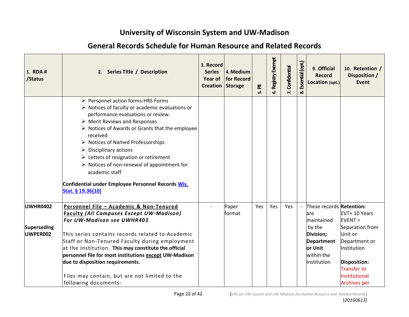| 1. RDA #<br>/Status                               | 2. Series Title / Description                                                                                                                                                                                                                                                                                                                                                                                                                                                                                                                                              | 3. Record<br><b>Series</b><br>Year of<br>Creation Storage | 4. Medium<br>for Record | ᇍ<br>ம் | Registry Exempt<br>ف | Confidential<br>$\mathbf{r}$ | Essential (opt.<br>ळ | 9. Official<br><b>Record</b><br>Location (opt.)                                                                                    | 10. Retention /<br>Disposition /<br><b>Event</b>                                                                                                                              |
|---------------------------------------------------|----------------------------------------------------------------------------------------------------------------------------------------------------------------------------------------------------------------------------------------------------------------------------------------------------------------------------------------------------------------------------------------------------------------------------------------------------------------------------------------------------------------------------------------------------------------------------|-----------------------------------------------------------|-------------------------|---------|----------------------|------------------------------|----------------------|------------------------------------------------------------------------------------------------------------------------------------|-------------------------------------------------------------------------------------------------------------------------------------------------------------------------------|
|                                                   | ▶ Personnel action forms-HRS Forms<br>$\triangleright$ Notices of faculty or academic evaluations or<br>performance evaluations or review.<br>$\triangleright$ Merit Reviews and Responses<br>> Notices of Awards or Grants that the employee<br>received<br>$\triangleright$ Notices of Named Professorships<br>$\triangleright$ Disciplinary actions<br>$\triangleright$ Letters of resignation or retirement<br>$\triangleright$ Notices of non-renewal of appointment for<br>academic staff<br>Confidential under Employee Personnel Records Wis.<br>Stat. § 19.36(10) |                                                           |                         |         |                      |                              |                      |                                                                                                                                    |                                                                                                                                                                               |
| <b>UWHR0402</b><br><b>Superseding</b><br>UWPER002 | Personnel File - Academic & Non-Tenured<br><b>Faculty (All Campuses Except UW-Madison)</b><br>For UW-Madison see UWHR403<br>This series contains records related to Academic<br>Staff or Non-Tenured Faculty during employment<br>at the Institution. This may constitute the official<br>personnel file for most institutions except UW-Madison<br>due to disposition requirements.<br>Files may contain, but are not limited to the<br>following documents:                                                                                                              |                                                           | Paper<br>format         | Yes     | Yes                  | Yes                          |                      | These records Retention:<br>lare<br>maintained<br>by the<br>Division;<br><b>Department</b><br>or Unit<br>within the<br>Institution | EVT+ 10 Years<br>$EVENT =$<br>Separation from<br>Unit or<br>Department or<br>Institution<br><b>Disposition:</b><br><b>Transfer to</b><br>Institutional<br><b>Archives per</b> |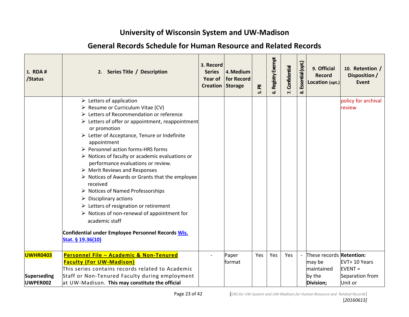| 1. RDA #<br>/Status                               | 2. Series Title / Description                                                                                                                                                                                                                                                                                                                                                                                                                                                                                                                                                                                                                                                                                                                                                                                                                                                  | 3. Record<br><b>Series</b><br>Year of<br><b>Creation Storage</b> | 4. Medium<br>for Record | 훈<br>ம் | Registry Exempt<br>ئە | Confidential | Essential (opt.<br>œΰ | 9. Official<br>Record<br>Location (opt.)                                       | 10. Retention /<br>Disposition /<br><b>Event</b>         |
|---------------------------------------------------|--------------------------------------------------------------------------------------------------------------------------------------------------------------------------------------------------------------------------------------------------------------------------------------------------------------------------------------------------------------------------------------------------------------------------------------------------------------------------------------------------------------------------------------------------------------------------------------------------------------------------------------------------------------------------------------------------------------------------------------------------------------------------------------------------------------------------------------------------------------------------------|------------------------------------------------------------------|-------------------------|---------|-----------------------|--------------|-----------------------|--------------------------------------------------------------------------------|----------------------------------------------------------|
|                                                   | $\triangleright$ Letters of application<br>> Resume or Curriculum Vitae (CV)<br>▶ Letters of Recommendation or reference<br>$\triangleright$ Letters of offer or appointment, reappointment<br>or promotion<br>Example: Letter of Acceptance, Tenure or Indefinite<br>appointment<br>▶ Personnel action forms-HRS forms<br>$\triangleright$ Notices of faculty or academic evaluations or<br>performance evaluations or review.<br>$\triangleright$ Merit Reviews and Responses<br>$\triangleright$ Notices of Awards or Grants that the employee<br>received<br>$\triangleright$ Notices of Named Professorships<br>$\triangleright$ Disciplinary actions<br>$\triangleright$ Letters of resignation or retirement<br>$\triangleright$ Notices of non-renewal of appointment for<br>academic staff<br>Confidential under Employee Personnel Records Wis.<br>Stat. § 19.36(10) |                                                                  |                         |         |                       |              |                       |                                                                                | policy for archival<br>review                            |
| <b>UWHR0403</b><br><b>Superseding</b><br>UWPER002 | Personnel File - Academic & Non-Tenured<br><b>Faculty (For UW-Madison)</b><br>This series contains records related to Academic<br>Staff or Non-Tenured Faculty during employment<br>at UW-Madison. This may constitute the official                                                                                                                                                                                                                                                                                                                                                                                                                                                                                                                                                                                                                                            |                                                                  | Paper<br>format         | Yes     | Yes                   | Yes          |                       | These records <b>Retention:</b><br>may be<br>maintained<br>by the<br>Division; | EVT+ 10 Years<br>$EVENT =$<br>Separation from<br>Unit or |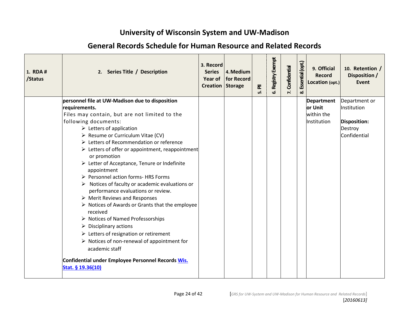| 1. RDA #<br>/Status | 2. Series Title / Description                                                                        | 3. Record<br><b>Series</b><br><b>Year of</b><br>Creation Storage | 4. Medium<br>for Record | $\bar{\mathbf{z}}$<br>ம் | Registry Exempt<br>ف | Confidential<br>$\mathbf{r}$ | Essential (opt.<br>ಹ | 9. Official<br><b>Record</b><br>Location (opt.) | 10. Retention /<br>Disposition /<br><b>Event</b> |
|---------------------|------------------------------------------------------------------------------------------------------|------------------------------------------------------------------|-------------------------|--------------------------|----------------------|------------------------------|----------------------|-------------------------------------------------|--------------------------------------------------|
|                     | personnel file at UW-Madison due to disposition<br>requirements.                                     |                                                                  |                         |                          |                      |                              |                      | Department<br>or Unit                           | Department or<br>Institution                     |
|                     | Files may contain, but are not limited to the                                                        |                                                                  |                         |                          |                      |                              |                      | within the                                      |                                                  |
|                     | following documents:                                                                                 |                                                                  |                         |                          |                      |                              |                      | Institution                                     | Disposition:                                     |
|                     | $\triangleright$ Letters of application                                                              |                                                                  |                         |                          |                      |                              |                      |                                                 | Destroy                                          |
|                     | > Resume or Curriculum Vitae (CV)                                                                    |                                                                  |                         |                          |                      |                              |                      |                                                 | Confidential                                     |
|                     | ▶ Letters of Recommendation or reference                                                             |                                                                  |                         |                          |                      |                              |                      |                                                 |                                                  |
|                     | $\triangleright$ Letters of offer or appointment, reappointment                                      |                                                                  |                         |                          |                      |                              |                      |                                                 |                                                  |
|                     | or promotion                                                                                         |                                                                  |                         |                          |                      |                              |                      |                                                 |                                                  |
|                     | Example: Letter of Acceptance, Tenure or Indefinite<br>appointment                                   |                                                                  |                         |                          |                      |                              |                      |                                                 |                                                  |
|                     | > Personnel action forms- HRS Forms                                                                  |                                                                  |                         |                          |                      |                              |                      |                                                 |                                                  |
|                     | $\triangleright$ Notices of faculty or academic evaluations or<br>performance evaluations or review. |                                                                  |                         |                          |                      |                              |                      |                                                 |                                                  |
|                     | $\triangleright$ Merit Reviews and Responses                                                         |                                                                  |                         |                          |                      |                              |                      |                                                 |                                                  |
|                     | $\triangleright$ Notices of Awards or Grants that the employee<br>received                           |                                                                  |                         |                          |                      |                              |                      |                                                 |                                                  |
|                     | $\triangleright$ Notices of Named Professorships                                                     |                                                                  |                         |                          |                      |                              |                      |                                                 |                                                  |
|                     | $\triangleright$ Disciplinary actions                                                                |                                                                  |                         |                          |                      |                              |                      |                                                 |                                                  |
|                     | $\triangleright$ Letters of resignation or retirement                                                |                                                                  |                         |                          |                      |                              |                      |                                                 |                                                  |
|                     | $\triangleright$ Notices of non-renewal of appointment for<br>academic staff                         |                                                                  |                         |                          |                      |                              |                      |                                                 |                                                  |
|                     | Confidential under Employee Personnel Records Wis.<br>Stat. § 19.36(10)                              |                                                                  |                         |                          |                      |                              |                      |                                                 |                                                  |

### **General Records Schedule for Human Resource and Related Records**

**1.**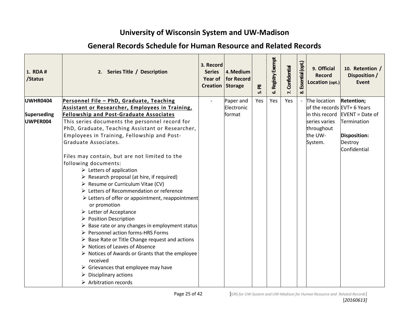| 1. RDA #<br>/Status | 2. Series Title / Description                                                                                                                                                                                                                                                                                                                                                                                                                                                                                                                                                                                                                                                                                                                                                       | 3. Record<br><b>Series</b><br>Year of<br>Creation Storage | 4. Medium<br>for Record | ᇍ<br>ம் | Registry Exempt<br>ۇ ب | Confidential<br>$\mathbf{r}$ | Essential (opt.<br>ထံ | 9. Official<br><b>Record</b><br>Location (opt.) | 10. Retention /<br>Disposition /<br><b>Event</b> |
|---------------------|-------------------------------------------------------------------------------------------------------------------------------------------------------------------------------------------------------------------------------------------------------------------------------------------------------------------------------------------------------------------------------------------------------------------------------------------------------------------------------------------------------------------------------------------------------------------------------------------------------------------------------------------------------------------------------------------------------------------------------------------------------------------------------------|-----------------------------------------------------------|-------------------------|---------|------------------------|------------------------------|-----------------------|-------------------------------------------------|--------------------------------------------------|
| UWHR0404            | Personnel File - PhD, Graduate, Teaching                                                                                                                                                                                                                                                                                                                                                                                                                                                                                                                                                                                                                                                                                                                                            |                                                           | Paper and               | Yes     | Yes                    | Yes                          |                       | The location                                    | Retention;                                       |
|                     | Assistant or Researcher, Employees in Training,                                                                                                                                                                                                                                                                                                                                                                                                                                                                                                                                                                                                                                                                                                                                     |                                                           | Electronic              |         |                        |                              |                       | of the records EVT+ 6 Years                     |                                                  |
| Superseding         | <b>Fellowship and Post-Graduate Associates</b>                                                                                                                                                                                                                                                                                                                                                                                                                                                                                                                                                                                                                                                                                                                                      |                                                           | format                  |         |                        |                              |                       |                                                 | in this record  EVENT = Date of                  |
| UWPER004            | This series documents the personnel record for                                                                                                                                                                                                                                                                                                                                                                                                                                                                                                                                                                                                                                                                                                                                      |                                                           |                         |         |                        |                              |                       | series varies                                   | Termination                                      |
|                     | PhD, Graduate, Teaching Assistant or Researcher,                                                                                                                                                                                                                                                                                                                                                                                                                                                                                                                                                                                                                                                                                                                                    |                                                           |                         |         |                        |                              |                       | throughout                                      |                                                  |
|                     | Employees in Training, Fellowship and Post-<br>Graduate Associates.                                                                                                                                                                                                                                                                                                                                                                                                                                                                                                                                                                                                                                                                                                                 |                                                           |                         |         |                        |                              |                       | the UW-                                         | Disposition:                                     |
|                     |                                                                                                                                                                                                                                                                                                                                                                                                                                                                                                                                                                                                                                                                                                                                                                                     |                                                           |                         |         |                        |                              |                       | System.                                         | Destroy<br>Confidential                          |
|                     | Files may contain, but are not limited to the<br>following documents:<br>$\triangleright$ Letters of application<br>$\triangleright$ Research proposal (at hire, if required)<br>$\triangleright$ Resume or Curriculum Vitae (CV)<br>▶ Letters of Recommendation or reference<br>$\triangleright$ Letters of offer or appointment, reappointment<br>or promotion<br>$\triangleright$ Letter of Acceptance<br>▶ Position Description<br>$\triangleright$ Base rate or any changes in employment status<br>▶ Personnel action forms-HRS Forms<br>$\triangleright$ Base Rate or Title Change request and actions<br>> Notices of Leaves of Absence<br>$\triangleright$ Notices of Awards or Grants that the employee<br>received<br>$\triangleright$ Grievances that employee may have |                                                           |                         |         |                        |                              |                       |                                                 |                                                  |
|                     | $\triangleright$ Disciplinary actions                                                                                                                                                                                                                                                                                                                                                                                                                                                                                                                                                                                                                                                                                                                                               |                                                           |                         |         |                        |                              |                       |                                                 |                                                  |
|                     | $\triangleright$ Arbitration records                                                                                                                                                                                                                                                                                                                                                                                                                                                                                                                                                                                                                                                                                                                                                |                                                           |                         |         |                        |                              |                       |                                                 |                                                  |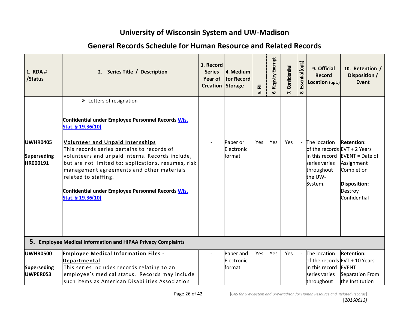| 1. RDA #<br>/Status                        | 2. Series Title / Description                                                                                                                                                                                                                                                                                                            | 3. Record<br><b>Series</b><br><b>Year of</b><br>Creation Storage | 4. Medium<br>for Record           | $\bar{\mathbf{z}}$<br>ம் | Registry Exempt<br>ຜ່ | Confidential | Essential (opt.<br>ळ | 9. Official<br><b>Record</b><br>Location (opt.)                                                                       | 10. Retention /<br>Disposition /<br><b>Event</b>                                                                   |
|--------------------------------------------|------------------------------------------------------------------------------------------------------------------------------------------------------------------------------------------------------------------------------------------------------------------------------------------------------------------------------------------|------------------------------------------------------------------|-----------------------------------|--------------------------|-----------------------|--------------|----------------------|-----------------------------------------------------------------------------------------------------------------------|--------------------------------------------------------------------------------------------------------------------|
|                                            | $\triangleright$ Letters of resignation<br>Confidential under Employee Personnel Records Wis.<br>Stat. § 19.36(10)                                                                                                                                                                                                                       |                                                                  |                                   |                          |                       |              |                      |                                                                                                                       |                                                                                                                    |
| UWHR0405<br>Superseding<br><b>HR000191</b> | Volunteer and Unpaid Internships<br>This records series pertains to records of<br>volunteers and unpaid interns. Records include,<br>but are not limited to: applications, resumes, risk<br>management agreements and other materials<br>related to staffing.<br>Confidential under Employee Personnel Records Wis.<br>Stat. § 19.36(10) |                                                                  | Paper or<br>Electronic<br>format  | Yes                      | Yes                   | Yes          |                      | The location<br>of the records $EVT + 2$ Years<br>in this record<br>series varies<br>throughout<br>the UW-<br>System. | <b>Retention:</b><br>EVENT = Date of<br>Assignment<br>Completion<br><b>Disposition:</b><br>Destroy<br>Confidential |
|                                            | 5. Employee Medical Information and HIPAA Privacy Complaints                                                                                                                                                                                                                                                                             |                                                                  |                                   |                          |                       |              |                      |                                                                                                                       |                                                                                                                    |
| <b>UWHR0500</b><br>Superseding<br>UWPER053 | <b>Employee Medical Information Files -</b><br>Departmental<br>This series includes records relating to an<br>employee's medical status. Records may include<br>such items as American Disabilities Association                                                                                                                          |                                                                  | Paper and<br>Electronic<br>format | Yes                      | Yes                   | Yes          |                      | The location<br>in this record $EVENT =$<br>series varies<br>throughout                                               | <b>Retention:</b><br>of the records EVT + 10 Years<br>Separation From<br>the Institution                           |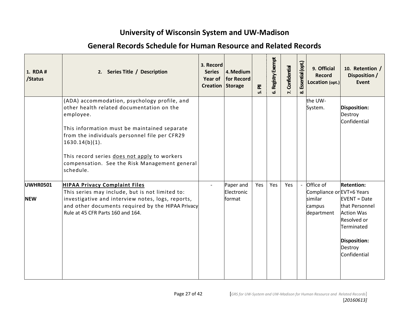| 1. RDA #<br>/Status           | 2. Series Title / Description                                                                                                                                                                                                                                                                                                              | 3. Record<br><b>Series</b><br>Year of<br><b>Creation Storage</b> | 4. Medium<br>for Record           | $\bar{a}$<br>ທ່ | Registry Exempt<br>ശ് | Confidential<br>$\mathbf{r}$ | Essential (opt.<br>ळ | 9. Official<br><b>Record</b><br>Location (opt.)                           | 10. Retention /<br>Disposition /<br>Event                                                                                                                        |
|-------------------------------|--------------------------------------------------------------------------------------------------------------------------------------------------------------------------------------------------------------------------------------------------------------------------------------------------------------------------------------------|------------------------------------------------------------------|-----------------------------------|-----------------|-----------------------|------------------------------|----------------------|---------------------------------------------------------------------------|------------------------------------------------------------------------------------------------------------------------------------------------------------------|
|                               | (ADA) accommodation, psychology profile, and<br>other health related documentation on the<br>employee.<br>This information must be maintained separate<br>from the individuals personnel file per CFR29<br>$1630.14(b)(1)$ .<br>This record series does not apply to workers<br>compensation. See the Risk Management general<br>schedule. |                                                                  |                                   |                 |                       |                              |                      | the UW-<br>System.                                                        | <b>Disposition:</b><br>Destroy<br>Confidential                                                                                                                   |
| <b>UWHR0501</b><br><b>NEW</b> | <b>HIPAA Privacy Complaint Files</b><br>This series may include, but is not limited to:<br>investigative and interview notes, logs, reports,<br>and other documents required by the HIPAA Privacy<br>Rule at 45 CFR Parts 160 and 164.                                                                                                     |                                                                  | Paper and<br>Electronic<br>format | Yes             | Yes                   | Yes                          |                      | Office of<br>Compliance or EVT+6 Years<br>similar<br>campus<br>department | <b>Retention:</b><br>$EVENT = Date$<br>that Personnel<br><b>Action Was</b><br><b>Resolved or</b><br>Terminated<br><b>Disposition:</b><br>Destroy<br>Confidential |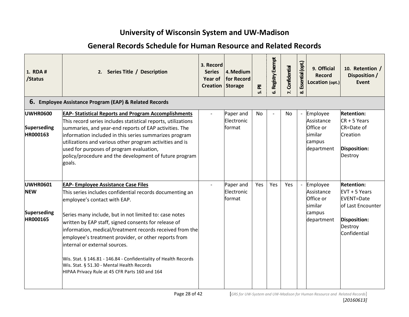| <b>General Records Schedule for Human Resource and Related Records</b> |
|------------------------------------------------------------------------|
|                                                                        |

| 1. RDA #<br>/Status                                      | 2. Series Title / Description                                                                                                                                                                                                                                                                                                                                                                                                                                                                                                                                                      | 3. Record<br><b>Series</b><br><b>Year of</b><br><b>Creation Storage</b> | 4. Medium<br>for Record           | $\bar{a}$<br>மி | <b>6. Registry Exempt</b> | Confidential<br>$\mathbf{r}$ | Essential (opt.)<br>ထံ | 9. Official<br><b>Record</b><br>Location (opt.)                         | 10. Retention /<br>Disposition /<br><b>Event</b>                                                                        |
|----------------------------------------------------------|------------------------------------------------------------------------------------------------------------------------------------------------------------------------------------------------------------------------------------------------------------------------------------------------------------------------------------------------------------------------------------------------------------------------------------------------------------------------------------------------------------------------------------------------------------------------------------|-------------------------------------------------------------------------|-----------------------------------|-----------------|---------------------------|------------------------------|------------------------|-------------------------------------------------------------------------|-------------------------------------------------------------------------------------------------------------------------|
|                                                          | 6. Employee Assistance Program (EAP) & Related Records                                                                                                                                                                                                                                                                                                                                                                                                                                                                                                                             |                                                                         |                                   |                 |                           |                              |                        |                                                                         |                                                                                                                         |
| <b>UWHR0600</b><br>Superseding<br><b>HR000163</b>        | <b>EAP- Statistical Reports and Program Accomplishments</b><br>This record series includes statistical reports, utilizations<br>summaries, and year-end reports of EAP activities. The<br>information included in this series summarizes program<br>utilizations and various other program activities and is<br>used for purposes of program evaluation,<br>policy/procedure and the development of future program<br>goals.                                                                                                                                                       |                                                                         | Paper and<br>Electronic<br>format | No              |                           | No                           |                        | Employee<br>Assistance<br>Office or<br>İsimilar<br>campus<br>department | <b>Retention:</b><br>$CR + 5$ Years<br>CR=Date of<br>Creation<br>Disposition:<br>Destroy                                |
| UWHR0601<br><b>NEW</b><br>Superseding<br><b>HR000165</b> | <b>EAP- Employee Assistance Case Files</b><br>This series includes confidential records documenting an<br>employee's contact with EAP.<br>Series many include, but in not limited to: case notes<br>written by EAP staff, signed consents for release of<br>information, medical/treatment records received from the<br>employee's treatment provider, or other reports from<br>linternal or external sources.<br>Wis. Stat. § 146.81 - 146.84 - Confidentiality of Health Records<br>Wis. Stat. § 51.30 - Mental Health Records<br>HIPAA Privacy Rule at 45 CFR Parts 160 and 164 |                                                                         | Paper and<br>Electronic<br>format | Yes             | Yes                       | Yes                          |                        | Employee<br>Assistance<br>Office or<br>similar<br>campus<br>department  | <b>Retention:</b><br>EVT + 5 Years<br><b>EVENT=Date</b><br>of Last Encounter<br>Disposition:<br>Destroy<br>Confidential |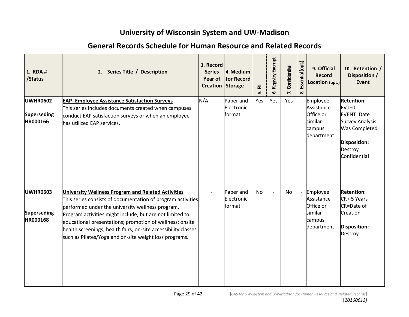| 1. RDA #<br>/Status                               | 2. Series Title / Description                                                                                                                                                                                                                                                                                                                                                                                                     | 3. Record<br><b>Series</b><br>Year of<br><b>Creation Storage</b> | 4. Medium<br>for Record           | $\bar{\mathbf{z}}$<br>ம் | Registry Exempt<br>ق | Confidential<br>7. | Essential (opt.<br>ಹ | 9. Official<br>Record<br>Location (opt.)                               | 10. Retention /<br>Disposition /<br>Event                                                                                                      |
|---------------------------------------------------|-----------------------------------------------------------------------------------------------------------------------------------------------------------------------------------------------------------------------------------------------------------------------------------------------------------------------------------------------------------------------------------------------------------------------------------|------------------------------------------------------------------|-----------------------------------|--------------------------|----------------------|--------------------|----------------------|------------------------------------------------------------------------|------------------------------------------------------------------------------------------------------------------------------------------------|
| <b>UWHR0602</b><br><b>Superseding</b><br>HR000166 | <b>EAP- Employee Assistance Satisfaction Surveys</b><br>This series includes documents created when campuses<br>conduct EAP satisfaction surveys or when an employee<br>has utilized EAP services.                                                                                                                                                                                                                                | N/A                                                              | Paper and<br>Electronic<br>format | Yes                      | Yes                  | Yes                |                      | Employee<br>Assistance<br>Office or<br>similar<br>campus<br>department | <b>Retention:</b><br>$EVT+0$<br><b>EVENT=Date</b><br><b>Survey Analysis</b><br><b>Was Completed</b><br>Disposition:<br>Destroy<br>Confidential |
| <b>UWHR0603</b><br><b>Superseding</b><br>HR000168 | <b>University Wellness Program and Related Activities</b><br>This series consists of documentation of program activities<br>performed under the university wellness program.<br>Program activities might include, but are not limited to:<br>educational presentations; promotion of wellness; onsite<br>health screenings; health fairs, on-site accessibility classes<br>such as Pilates/Yoga and on-site weight loss programs. |                                                                  | Paper and<br>Electronic<br>format | No                       |                      | No                 |                      | Employee<br>Assistance<br>Office or<br>similar<br>campus<br>department | <b>Retention:</b><br>CR+ 5 Years<br>CR=Date of<br>Creation<br>Disposition:<br>Destroy                                                          |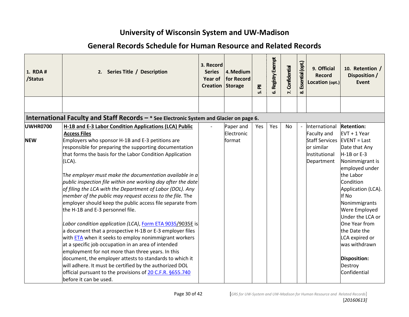| 1. RDA #<br>/Status           | 2. Series Title / Description                                                                                                                                                                                                                                                                                                                                                                                                                                                                                                                                                                                                                                                                                                                                                                                                                                                                                                                                                                                                                                                                                                            | 3. Record<br><b>Series</b><br>Year of<br><b>Creation Storage</b> | 4. Medium<br>for Record           | $\bar{\mathbf{z}}$<br>ம் | Registry Exempt<br>ھ. | Confidential<br>$\mathbf{r}$ | Essential (opt.)<br>ೲ | 9. Official<br><b>Record</b><br>Location (opt.)                                                    | 10. Retention /<br>Disposition /<br><b>Event</b>                                                                                                                                                                                                                                                                                                                         |
|-------------------------------|------------------------------------------------------------------------------------------------------------------------------------------------------------------------------------------------------------------------------------------------------------------------------------------------------------------------------------------------------------------------------------------------------------------------------------------------------------------------------------------------------------------------------------------------------------------------------------------------------------------------------------------------------------------------------------------------------------------------------------------------------------------------------------------------------------------------------------------------------------------------------------------------------------------------------------------------------------------------------------------------------------------------------------------------------------------------------------------------------------------------------------------|------------------------------------------------------------------|-----------------------------------|--------------------------|-----------------------|------------------------------|-----------------------|----------------------------------------------------------------------------------------------------|--------------------------------------------------------------------------------------------------------------------------------------------------------------------------------------------------------------------------------------------------------------------------------------------------------------------------------------------------------------------------|
|                               |                                                                                                                                                                                                                                                                                                                                                                                                                                                                                                                                                                                                                                                                                                                                                                                                                                                                                                                                                                                                                                                                                                                                          |                                                                  |                                   |                          |                       |                              |                       |                                                                                                    |                                                                                                                                                                                                                                                                                                                                                                          |
|                               | International Faculty and Staff Records $-$ * See Electronic System and Glacier on page 6.                                                                                                                                                                                                                                                                                                                                                                                                                                                                                                                                                                                                                                                                                                                                                                                                                                                                                                                                                                                                                                               |                                                                  |                                   |                          |                       |                              |                       |                                                                                                    |                                                                                                                                                                                                                                                                                                                                                                          |
| <b>UWHR0700</b><br><b>NEW</b> | H-1B and E-3 Labor Condition Applications (LCA) Public<br><b>Access Files</b><br>Employers who sponsor H-1B and E-3 petitions are<br>responsible for preparing the supporting documentation<br>that forms the basis for the Labor Condition Application<br>(LCA).<br>The employer must make the documentation available in a<br>public inspection file within one working day after the date<br>of filing the LCA with the Department of Labor (DOL). Any<br>member of the public may request access to the file. The<br>employer should keep the public access file separate from<br>the H-1B and E-3 personnel file.<br>Labor condition application (LCA), Form ETA 9035/9035E is<br>a document that a prospective H-1B or E-3 employer files<br>with <b>ETA</b> when it seeks to employ nonimmigrant workers<br>at a specific job occupation in an area of intended<br>employment for not more than three years. In this<br>document, the employer attests to standards to which it<br>will adhere. It must be certified by the authorized DOL<br>official pursuant to the provisions of 20 C.F.R. §655.740<br>before it can be used. |                                                                  | Paper and<br>Electronic<br>format | Yes                      | Yes                   | No                           |                       | International<br>Faculty and<br><b>Staff Services</b><br>or similar<br>Institutional<br>Department | <b>Retention:</b><br>$EVT + 1$ Year<br>$EVENT = Last$<br>Date that Any<br>$H-1B$ or E-3<br>Nonimmigrant is<br>employed under<br>the Labor<br>Condition<br>Application (LCA).<br>If No<br>Nonimmigrants<br><b>Were Employed</b><br>Under the LCA or<br>One Year from<br>the Date the<br>LCA expired or<br>was withdrawn<br><b>Disposition:</b><br>Destroy<br>Confidential |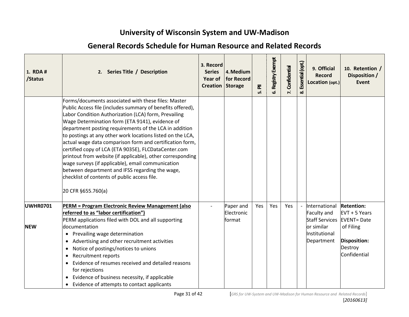| 1. RDA #<br>/Status           | 2. Series Title / Description                                                                                                                                                                                                                                                                                                                                                                                                                                                                                                                                                                                                                                                                                        | 3. Record<br><b>Series</b><br><b>Year of</b><br>Creation Storage | 4. Medium<br>for Record                  | $\bar{\mathbf{z}}$<br>ம் | Registry Exempt<br>ئە | Confidential<br>$\mathbf{r}$ | Essential (opt.)<br>ೲ | 9. Official<br><b>Record</b><br>Location (opt.)                                                    | 10. Retention /<br>Disposition /<br><b>Event</b>                                                                           |
|-------------------------------|----------------------------------------------------------------------------------------------------------------------------------------------------------------------------------------------------------------------------------------------------------------------------------------------------------------------------------------------------------------------------------------------------------------------------------------------------------------------------------------------------------------------------------------------------------------------------------------------------------------------------------------------------------------------------------------------------------------------|------------------------------------------------------------------|------------------------------------------|--------------------------|-----------------------|------------------------------|-----------------------|----------------------------------------------------------------------------------------------------|----------------------------------------------------------------------------------------------------------------------------|
|                               | Forms/documents associated with these files: Master<br>Public Access file (includes summary of benefits offered),<br>Labor Condition Authorization (LCA) form, Prevailing<br>Wage Determination form (ETA 9141), evidence of<br>department posting requirements of the LCA in addition<br>to postings at any other work locations listed on the LCA,<br>actual wage data comparison form and certification form,<br>certified copy of LCA (ETA 9035E), FLCDataCenter.com<br>printout from website (if applicable), other corresponding<br>wage surveys (if applicable), email communication<br>between department and IFSS regarding the wage,<br>checklist of contents of public access file.<br>20 CFR §655.760(a) |                                                                  |                                          |                          |                       |                              |                       |                                                                                                    |                                                                                                                            |
| <b>UWHR0701</b><br><b>NEW</b> | PERM = Program Electronic Review Management (also<br>referred to as "labor certification")<br>PERM applications filed with DOL and all supporting<br>documentation<br>Prevailing wage determination<br>$\bullet$<br>Advertising and other recruitment activities<br>$\bullet$<br>Notice of postings/notices to unions<br>٠<br><b>Recruitment reports</b><br>$\bullet$<br>Evidence of resumes received and detailed reasons<br>$\bullet$<br>for rejections<br>Evidence of business necessity, if applicable<br>$\bullet$<br>Evidence of attempts to contact applicants                                                                                                                                                |                                                                  | Paper and<br>Electronic<br><b>format</b> | Yes                      | Yes                   | Yes                          |                       | International<br>Faculty and<br><b>Staff Services</b><br>or similar<br>Institutional<br>Department | <b>Retention:</b><br>$EVT + 5$ Years<br><b>EVENT</b> = Date<br>of Filing<br><b>Disposition:</b><br>Destroy<br>Confidential |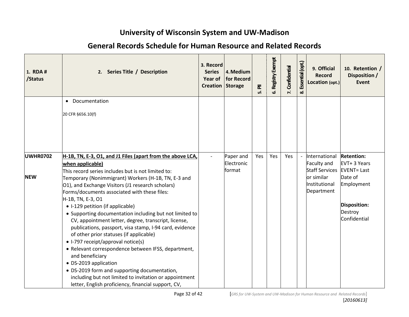| 1. RDA #<br>/Status | 2. Series Title / Description                                                                                                                                                                                                                                                                                                                                                                                                                                                                                                                                                            | 3. Record<br><b>Series</b><br>Creation Storage | 4. Medium<br>Year of   for Record | $\bar{\mathbf{z}}$<br>ம் | Registry Exempt<br>ئ | Confidential | Essential (opt.)<br>ထံ | 9. Official<br><b>Record</b><br>Location (opt.)       | 10. Retention /<br>Disposition /<br>Event              |
|---------------------|------------------------------------------------------------------------------------------------------------------------------------------------------------------------------------------------------------------------------------------------------------------------------------------------------------------------------------------------------------------------------------------------------------------------------------------------------------------------------------------------------------------------------------------------------------------------------------------|------------------------------------------------|-----------------------------------|--------------------------|----------------------|--------------|------------------------|-------------------------------------------------------|--------------------------------------------------------|
|                     | • Documentation                                                                                                                                                                                                                                                                                                                                                                                                                                                                                                                                                                          |                                                |                                   |                          |                      |              |                        |                                                       |                                                        |
|                     | 20 CFR §656.10(f)                                                                                                                                                                                                                                                                                                                                                                                                                                                                                                                                                                        |                                                |                                   |                          |                      |              |                        |                                                       |                                                        |
|                     |                                                                                                                                                                                                                                                                                                                                                                                                                                                                                                                                                                                          |                                                |                                   |                          |                      |              |                        |                                                       |                                                        |
|                     |                                                                                                                                                                                                                                                                                                                                                                                                                                                                                                                                                                                          |                                                |                                   |                          |                      |              |                        |                                                       |                                                        |
| <b>UWHR0702</b>     | H-1B, TN, E-3, O1, and J1 Files (apart from the above LCA,<br>when applicable)                                                                                                                                                                                                                                                                                                                                                                                                                                                                                                           |                                                | Paper and<br>Electronic<br>format | Yes                      | Yes                  | Yes          |                        | International<br>Faculty and<br><b>Staff Services</b> | <b>Retention:</b><br>EVT+ 3 Years<br><b>EVENT=Last</b> |
| <b>NEW</b>          | This record series includes but is not limited to:<br>Temporary (Nonimmigrant) Workers (H-1B, TN, E-3 and<br>01), and Exchange Visitors (J1 research scholars)<br>Forms/documents associated with these files:                                                                                                                                                                                                                                                                                                                                                                           |                                                |                                   |                          |                      |              |                        | or similar<br>Institutional<br>Department             | Date of<br>Employment                                  |
|                     | H-1B, TN, E-3, O1<br>• I-129 petition (if applicable)<br>• Supporting documentation including but not limited to<br>CV, appointment letter, degree, transcript, license,<br>publications, passport, visa stamp, I-94 card, evidence<br>of other prior statuses (if applicable)<br>• I-797 receipt/approval notice(s)<br>• Relevant correspondence between IFSS, department,<br>and beneficiary<br>• DS-2019 application<br>• DS-2019 form and supporting documentation,<br>including but not limited to invitation or appointment<br>letter, English proficiency, financial support, CV, |                                                |                                   |                          |                      |              |                        |                                                       | Disposition:<br>Destroy<br>Confidential                |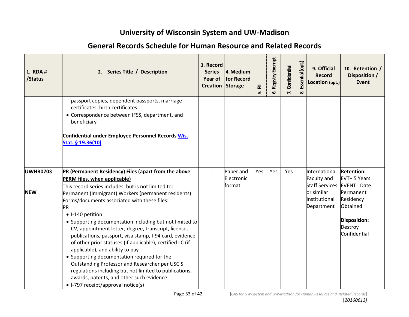| 1. RDA #<br>/Status           | 2. Series Title / Description                                                                                                                                                                                                                                                                                                                                                                                                                                                                                                                     | 3. Record<br><b>Series</b><br>Year of<br>Creation Storage | 4. Medium<br>for Record           | 둔<br>ம் | Registry Exempt<br>ئ | Confidential<br>$\mathbf{r}$ | Essential (opt.)<br>ಯ | 9. Official<br><b>Record</b><br>Location (opt.)                                      | 10. Retention /<br>Disposition /<br><b>Event</b>                                 |
|-------------------------------|---------------------------------------------------------------------------------------------------------------------------------------------------------------------------------------------------------------------------------------------------------------------------------------------------------------------------------------------------------------------------------------------------------------------------------------------------------------------------------------------------------------------------------------------------|-----------------------------------------------------------|-----------------------------------|---------|----------------------|------------------------------|-----------------------|--------------------------------------------------------------------------------------|----------------------------------------------------------------------------------|
|                               | passport copies, dependent passports, marriage<br>certificates, birth certificates<br>• Correspondence between IFSS, department, and<br>beneficiary<br>Confidential under Employee Personnel Records Wis.<br>Stat. § 19.36(10)                                                                                                                                                                                                                                                                                                                    |                                                           |                                   |         |                      |                              |                       |                                                                                      |                                                                                  |
| <b>UWHR0703</b><br><b>NEW</b> | PR (Permanent Residency) Files (apart from the above<br>PERM files, when applicable)<br>This record series includes, but is not limited to:<br>Permanent (Immigrant) Workers (permanent residents)<br>Forms/documents associated with these files:                                                                                                                                                                                                                                                                                                |                                                           | Paper and<br>Electronic<br>format | Yes     | Yes                  | Yes                          |                       | International<br>Faculty and<br><b>Staff Services</b><br>or similar<br>Institutional | <b>Retention:</b><br>EVT+ 5 Years<br><b>EVENT=Date</b><br>Permanent<br>Residency |
|                               | PR<br>• I-140 petition<br>• Supporting documentation including but not limited to<br>CV, appointment letter, degree, transcript, license,<br>publications, passport, visa stamp, I-94 card, evidence<br>of other prior statuses (if applicable), certified LC (if<br>applicable), and ability to pay<br>• Supporting documentation required for the<br>Outstanding Professor and Researcher per USCIS<br>regulations including but not limited to publications,<br>awards, patents, and other such evidence<br>• I-797 receipt/approval notice(s) |                                                           |                                   |         |                      |                              |                       | Department                                                                           | Obtained<br><b>Disposition:</b><br>Destroy<br>Confidential                       |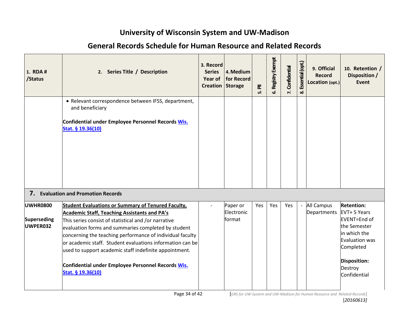| 1. RDA #<br>/Status                 | 2. Series Title / Description                                                                                                                                                                                                                                                                                                                                                                                                                                                                  | 3. Record<br><b>Series</b><br><b>Year of</b><br><b>Creation Storage</b> | 4. Medium<br>for Record          | $\overline{\mathbf{a}}$<br>ம் | Registry Exempt<br>ف | Confidential<br>$\mathbf{r}$ | Essential (opt.)<br>ထံ | 9. Official<br><b>Record</b><br>Location (opt.) | 10. Retention /<br>Disposition /<br><b>Event</b>                                                                                                            |
|-------------------------------------|------------------------------------------------------------------------------------------------------------------------------------------------------------------------------------------------------------------------------------------------------------------------------------------------------------------------------------------------------------------------------------------------------------------------------------------------------------------------------------------------|-------------------------------------------------------------------------|----------------------------------|-------------------------------|----------------------|------------------------------|------------------------|-------------------------------------------------|-------------------------------------------------------------------------------------------------------------------------------------------------------------|
|                                     | • Relevant correspondence between IFSS, department,<br>and beneficiary<br>Confidential under Employee Personnel Records Wis.<br>Stat. § 19.36(10)                                                                                                                                                                                                                                                                                                                                              |                                                                         |                                  |                               |                      |                              |                        |                                                 |                                                                                                                                                             |
|                                     | 7. Evaluation and Promotion Records                                                                                                                                                                                                                                                                                                                                                                                                                                                            |                                                                         |                                  |                               |                      |                              |                        |                                                 |                                                                                                                                                             |
| UWHR0800<br>Superseding<br>UWPER032 | <b>Student Evaluations or Summary of Tenured Faculty,</b><br><b>Academic Staff, Teaching Assistants and PA's</b><br>This series consist of statistical and /or narrative<br>evaluation forms and summaries completed by student<br>concerning the teaching performance of individual faculty<br>or academic staff. Student evaluations information can be<br>used to support academic staff indefinite appointment.<br>Confidential under Employee Personnel Records Wis.<br>Stat. § 19.36(10) |                                                                         | Paper or<br>Electronic<br>format | Yes                           | Yes                  | Yes                          | $\overline{a}$         | All Campus<br>Departments                       | <b>Retention:</b><br>EVT+ 5 Years<br>EVENT=End of<br>the Semester<br>in which the<br>Evaluation was<br>Completed<br>Disposition:<br>Destroy<br>Confidential |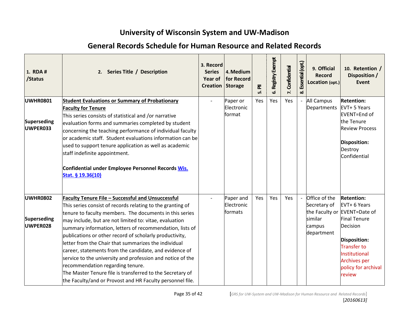| 1. RDA #<br>/Status                               | 2. Series Title / Description                                                                                                                                                                                                                                                                                                                                                                                                                                                                                                                                                                                                                                                                                    | 3. Record<br><b>Series</b><br>Year of<br><b>Creation Storage</b> | 4. Medium<br>for Record            | ᇍ<br>ம் | Registry Exempt<br>ف | Confidential<br>$\mathbf{r}$ | Essential (opt.)<br>ထံ | 9. Official<br><b>Record</b><br>Location (opt.)                                    | 10. Retention /<br>Disposition /<br>Event                                                                                                                                                            |
|---------------------------------------------------|------------------------------------------------------------------------------------------------------------------------------------------------------------------------------------------------------------------------------------------------------------------------------------------------------------------------------------------------------------------------------------------------------------------------------------------------------------------------------------------------------------------------------------------------------------------------------------------------------------------------------------------------------------------------------------------------------------------|------------------------------------------------------------------|------------------------------------|---------|----------------------|------------------------------|------------------------|------------------------------------------------------------------------------------|------------------------------------------------------------------------------------------------------------------------------------------------------------------------------------------------------|
| <b>UWHR0801</b><br><b>Superseding</b><br>UWPER033 | <b>Student Evaluations or Summary of Probationary</b><br><b>Faculty for Tenure</b><br>This series consists of statistical and /or narrative<br>evaluation forms and summaries completed by student<br>concerning the teaching performance of individual faculty<br>or academic staff. Student evaluations information can be<br>used to support tenure application as well as academic<br>staff indefinite appointment.<br>Confidential under Employee Personnel Records Wis.<br>Stat. § 19.36(10)                                                                                                                                                                                                               |                                                                  | Paper or<br>Electronic<br>format   | Yes     | Yes                  | Yes                          |                        | <b>All Campus</b><br>Departments                                                   | <b>Retention:</b><br>EVT+ 5 Years<br>EVENT=End of<br>the Tenure<br><b>Review Process</b><br>Disposition:<br>Destroy<br>Confidential                                                                  |
| <b>UWHR0802</b><br><b>Superseding</b><br>UWPER028 | <b>Faculty Tenure File - Successful and Unsuccessful</b><br>This series consist of records relating to the granting of<br>tenure to faculty members. The documents in this series<br>may include, but are not limited to: vitae, evaluation<br>summary information, letters of recommendation, lists of<br>publications or other record of scholarly productivity,<br>letter from the Chair that summarizes the individual<br>career, statements from the candidate, and evidence of<br>service to the university and profession and notice of the<br>recommendation regarding tenure.<br>The Master Tenure file is transferred to the Secretary of<br>the Faculty/and or Provost and HR Faculty personnel file. |                                                                  | Paper and<br>Electronic<br>formats | Yes     | Yes                  | Yes                          |                        | Office of the<br>Secretary of<br>the Faculty or<br>similar<br>campus<br>department | <b>Retention:</b><br>EVT+ 6 Years<br>EVENT=Date of<br><b>Final Tenure</b><br>Decision<br>Disposition:<br><b>Transfer to</b><br>Institutional<br><b>Archives per</b><br>policy for archival<br>review |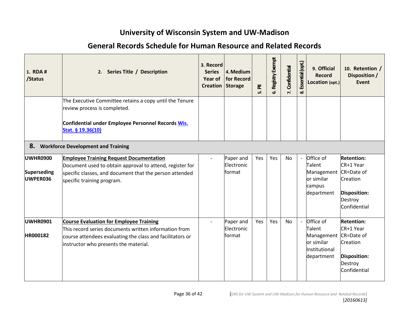| 1. RDA #<br>/Status                        | 2. Series Title / Description                                                                                                                                                                          | 3. Record<br><b>Series</b><br>Year of<br><b>Creation Storage</b> | 4. Medium<br>for Record            | $\overline{\overline{\mathtt{a}}}$<br>மி | Registry Exempt<br>ئ | Confidential<br>$\mathbf{r}$ | Essential (opt.)<br>ထံ   | 9. Official<br><b>Record</b><br>Location (opt.)                                       | 10. Retention /<br>Disposition /<br>Event                                                               |
|--------------------------------------------|--------------------------------------------------------------------------------------------------------------------------------------------------------------------------------------------------------|------------------------------------------------------------------|------------------------------------|------------------------------------------|----------------------|------------------------------|--------------------------|---------------------------------------------------------------------------------------|---------------------------------------------------------------------------------------------------------|
|                                            | The Executive Committee retains a copy until the Tenure<br>review process is completed.<br>Confidential under Employee Personnel Records Wis.<br>Stat. § 19.36(10)                                     |                                                                  |                                    |                                          |                      |                              |                          |                                                                                       |                                                                                                         |
| 8.                                         | <b>Workforce Development and Training</b>                                                                                                                                                              |                                                                  |                                    |                                          |                      |                              |                          |                                                                                       |                                                                                                         |
| <b>UWHR0900</b><br>Superseding<br>UWPER036 | <b>Employee Training Request Documentation</b><br>Document used to obtain approval to attend, register for<br>specific classes, and document that the person attended<br>specific training program.    |                                                                  | Paper and<br>Electronic<br>lformat | Yes                                      | Yes                  | <b>No</b>                    | $\overline{\phantom{a}}$ | Office of<br>Talent<br>Management<br>or similar<br>campus<br>department               | <b>Retention:</b><br>CR+1 Year<br>$CR = Date$ of<br>Creation<br>Disposition:<br>Destroy<br>Confidential |
| <b>UWHR0901</b><br><b>HR000182</b>         | Course Evaluation for Employee Training<br>This record series documents written information from<br>course attendees evaluating the class and facilitators or<br>instructor who presents the material. |                                                                  | Paper and<br>Electronic<br>format  | Yes                                      | Yes                  | <b>No</b>                    | $\overline{a}$           | Office of<br><b>Talent</b><br>Management<br>or similar<br>Institutional<br>department | <b>Retention:</b><br>CR+1 Year<br>CR=Date of<br>Creation<br>Disposition:<br>Destroy<br>Confidential     |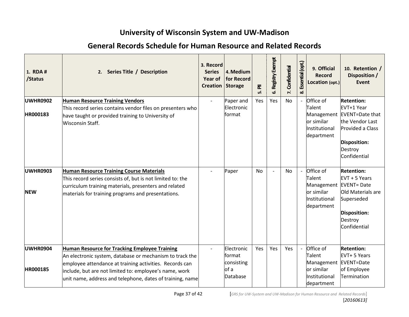| 1. RDA #<br>/Status | 2. Series Title / Description                                                                                                                                                                                                              | 3. Record<br><b>Series</b><br>Year of<br>Creation Storage | 4. Medium<br>for Record                  | 훈<br>ம்   | Registry Exempt<br>ف | Confidential<br>$\mathbf{r}$ | Essential (opt.)<br>ထံ | 9. Official<br><b>Record</b><br>Location (opt.)                   | 10. Retention /<br>Disposition /<br><b>Event</b>                                                                       |
|---------------------|--------------------------------------------------------------------------------------------------------------------------------------------------------------------------------------------------------------------------------------------|-----------------------------------------------------------|------------------------------------------|-----------|----------------------|------------------------------|------------------------|-------------------------------------------------------------------|------------------------------------------------------------------------------------------------------------------------|
| <b>UWHR0902</b>     | <b>Human Resource Training Vendors</b>                                                                                                                                                                                                     |                                                           | Paper and                                | Yes       | Yes                  | <b>No</b>                    |                        | Office of                                                         | <b>Retention:</b>                                                                                                      |
| HR000183            | This record series contains vendor files on presenters who<br>have taught or provided training to University of<br><b>Wisconsin Staff.</b>                                                                                                 |                                                           | Electronic<br>format                     |           |                      |                              |                        | Talent<br>Management<br>or similar<br>Institutional<br>department | EVT+1 Year<br><b>EVENT=Date that</b><br>the Vendor Last<br>Provided a Class<br>Disposition:<br>Destroy<br>Confidential |
| <b>UWHR0903</b>     | <b>Human Resource Training Course Materials</b>                                                                                                                                                                                            |                                                           | Paper                                    | <b>No</b> |                      | <b>No</b>                    |                        | Office of                                                         | <b>Retention:</b>                                                                                                      |
| <b>NEW</b>          | This record series consists of, but is not limited to: the<br>curriculum training materials, presenters and related<br>materials for training programs and presentations.                                                                  |                                                           |                                          |           |                      |                              |                        | Talent<br>Management<br>or similar<br>Institutional<br>department | EVT + 5 Years<br><b>EVENT</b> = Date<br>Old Materials are<br>Superseded<br>Disposition:<br>Destroy<br>Confidential     |
| <b>UWHR0904</b>     | Human Resource for Tracking Employee Training                                                                                                                                                                                              |                                                           | Electronic                               | Yes       | Yes                  | Yes                          |                        | Office of                                                         | <b>Retention:</b>                                                                                                      |
| HR000185            | An electronic system, database or mechanism to track the<br>employee attendance at training activities. Records can<br>include, but are not limited to: employee's name, work<br>unit name, address and telephone, dates of training, name |                                                           | format<br>consisting<br>of a<br>Database |           |                      |                              |                        | Talent<br>Management<br>or similar<br>Institutional<br>department | EVT+ 5 Years<br><b>EVENT=Date</b><br>of Employee<br>Termination                                                        |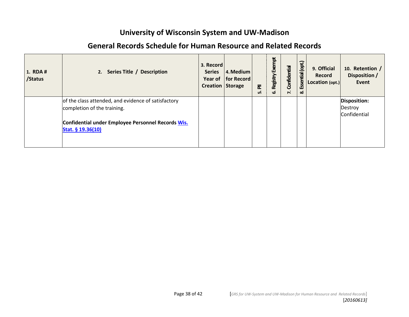| <b>General Records Schedule for Human Resource and Related Records</b> |
|------------------------------------------------------------------------|
|------------------------------------------------------------------------|

| 1. RDA #<br>/Status | 2. Series Title / Description                                                                                                                                 | 3. Record<br><b>Series</b><br><b>Creation Storage</b> | $ 4.$ Medium<br>Year of   for Record | ᇍ<br>ம் | Exempt<br>Registry<br>ئ | Confidential<br><sup>2</sup> | (opt.)<br>Essential<br>ಹ | 9. Official<br><b>Record</b><br>Location (opt.) | 10. Retention /<br>Disposition /<br>Event |
|---------------------|---------------------------------------------------------------------------------------------------------------------------------------------------------------|-------------------------------------------------------|--------------------------------------|---------|-------------------------|------------------------------|--------------------------|-------------------------------------------------|-------------------------------------------|
|                     | of the class attended, and evidence of satisfactory<br>completion of the training.<br>Confidential under Employee Personnel Records Wis.<br>Stat. § 19.36(10) |                                                       |                                      |         |                         |                              |                          |                                                 | Disposition:<br>Destroy<br>Confidential   |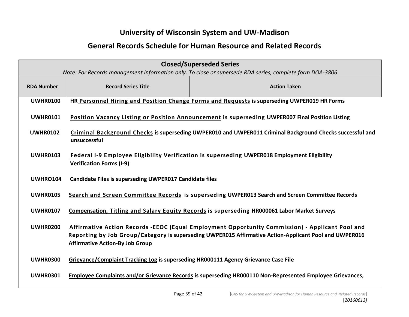| <b>Closed/Superseded Series</b> |                                                                                                                                 |                                                                                                                                                                                                           |  |  |  |  |  |
|---------------------------------|---------------------------------------------------------------------------------------------------------------------------------|-----------------------------------------------------------------------------------------------------------------------------------------------------------------------------------------------------------|--|--|--|--|--|
|                                 | Note: For Records management information only. To close or supersede RDA series, complete form DOA-3806                         |                                                                                                                                                                                                           |  |  |  |  |  |
| <b>RDA Number</b>               | <b>Record Series Title</b>                                                                                                      | <b>Action Taken</b>                                                                                                                                                                                       |  |  |  |  |  |
| <b>UWHR0100</b>                 |                                                                                                                                 | HR Personnel Hiring and Position Change Forms and Requests is superseding UWPER019 HR Forms                                                                                                               |  |  |  |  |  |
| <b>UWHR0101</b>                 |                                                                                                                                 | Position Vacancy Listing or Position Announcement is superseding UWPER007 Final Position Listing                                                                                                          |  |  |  |  |  |
| <b>UWHR0102</b>                 | unsuccessful                                                                                                                    | Criminal Background Checks is superseding UWPER010 and UWPER011 Criminal Background Checks successful and                                                                                                 |  |  |  |  |  |
| <b>UWHR0103</b>                 | Federal I-9 Employee Eligibility Verification is superseding UWPER018 Employment Eligibility<br><b>Verification Forms (I-9)</b> |                                                                                                                                                                                                           |  |  |  |  |  |
| <b>UWHRO104</b>                 | <b>Candidate Files is superseding UWPER017 Candidate files</b>                                                                  |                                                                                                                                                                                                           |  |  |  |  |  |
| <b>UWHR0105</b>                 | Search and Screen Committee Records is superseding UWPER013 Search and Screen Committee Records                                 |                                                                                                                                                                                                           |  |  |  |  |  |
| <b>UWHR0107</b>                 |                                                                                                                                 | Compensation, Titling and Salary Equity Records is superseding HR000061 Labor Market Surveys                                                                                                              |  |  |  |  |  |
| <b>UWHR0200</b>                 | <b>Affirmative Action-By Job Group</b>                                                                                          | Affirmative Action Records -EEOC (Equal Employment Opportunity Commission) - Applicant Pool and<br>Reporting by Job Group/Category is superseding UWPER015 Affirmative Action-Applicant Pool and UWPER016 |  |  |  |  |  |
| <b>UWHR0300</b>                 | Grievance/Complaint Tracking Log is superseding HR000111 Agency Grievance Case File                                             |                                                                                                                                                                                                           |  |  |  |  |  |
| <b>UWHR0301</b>                 |                                                                                                                                 | Employee Complaints and/or Grievance Records is superseding HR000110 Non-Represented Employee Grievances,                                                                                                 |  |  |  |  |  |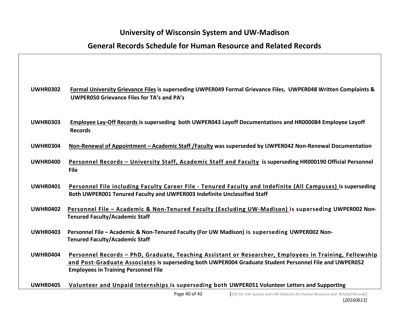| <b>UWHR0302</b> | Formal University Grievance Files is superseding UWPER049 Formal Grievance Files, UWPER048 Written Complaints &<br><b>UWPER050 Grievance Files for TA's and PA's</b>                                                                                            |
|-----------------|-----------------------------------------------------------------------------------------------------------------------------------------------------------------------------------------------------------------------------------------------------------------|
| <b>UWHR0303</b> | Employee Lay-Off Records is superseding both UWPER043 Layoff Documentations and HR000084 Employee Layoff<br><b>Records</b>                                                                                                                                      |
| <b>UWHR0304</b> | Non-Renewal of Appointment - Academic Staff / Faculty was superseded by UWPER042 Non-Renewal Documentation                                                                                                                                                      |
| <b>UWHR0400</b> | Personnel Records - University Staff, Academic Staff and Faculty is superseding HR000190 Official Personnel<br><b>File</b>                                                                                                                                      |
| <b>UWHR0401</b> | Personnel File including Faculty Career File - Tenured Faculty and Indefinite (All Campuses) is superseding<br>Both UWPER001 Tenured Faculty and UWPER003 Indefinite Unclassified Staff                                                                         |
| <b>UWHR0402</b> | Personnel File - Academic & Non-Tenured Faculty (Excluding UW-Madison) is superseding UWPER002 Non-<br><b>Tenured Faculty/Academic Staff</b>                                                                                                                    |
| <b>UWHR0403</b> | Personnel File - Academic & Non-Tenured Faculty (For UW Madison) is superseding UWPER002 Non-<br><b>Tenured Faculty/Academic Staff</b>                                                                                                                          |
| <b>UWHR0404</b> | Personnel Records - PhD, Graduate, Teaching Assistant or Researcher, Employees in Training, Fellowship<br>and Post-Graduate Associates is superseding both UWPER004 Graduate Student Personnel File and UWPER052<br><b>Employees in Training Personnel File</b> |
| <b>UWHR0405</b> | Volunteer and Unpaid Internships is superseding both UWPER051 Volunteer Letters and Supporting                                                                                                                                                                  |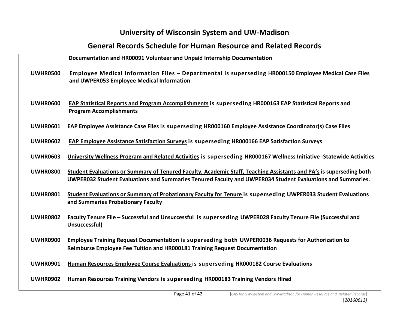|                 | Documentation and HR00091 Volunteer and Unpaid Internship Documentation                                                                                                                                                           |
|-----------------|-----------------------------------------------------------------------------------------------------------------------------------------------------------------------------------------------------------------------------------|
| <b>UWHR0500</b> | <b>Employee Medical Information Files - Departmental is superseding HR000150 Employee Medical Case Files</b><br>and UWPER053 Employee Medical Information                                                                         |
| <b>UWHR0600</b> | EAP Statistical Reports and Program Accomplishments is superseding HR000163 EAP Statistical Reports and<br><b>Program Accomplishments</b>                                                                                         |
| <b>UWHR0601</b> | EAP Employee Assistance Case Files is superseding HR000160 Employee Assistance Coordinator(s) Case Files                                                                                                                          |
| <b>UWHR0602</b> | <b>EAP Employee Assistance Satisfaction Surveys is superseding HR000166 EAP Satisfaction Surveys</b>                                                                                                                              |
| <b>UWHR0603</b> | University Wellness Program and Related Activities is superseding HR000167 Wellness Initiative -Statewide Activities                                                                                                              |
| <b>UWHR0800</b> | Student Evaluations or Summary of Tenured Faculty, Academic Staff, Teaching Assistants and PA's is superseding both<br>UWPER032 Student Evaluations and Summaries Tenured Faculty and UWPER034 Student Evaluations and Summaries. |
| <b>UWHR0801</b> | Student Evaluations or Summary of Probationary Faculty for Tenure is superseding UWPER033 Student Evaluations<br>and Summaries Probationary Faculty                                                                               |
| <b>UWHR0802</b> | Faculty Tenure File - Successful and Unsuccessful is superseding UWPER028 Faculty Tenure File (Successful and<br>Unsuccessful)                                                                                                    |
| <b>UWHR0900</b> | <b>Employee Training Request Documentation is superseding both UWPER0036 Requests for Authorization to</b><br>Reimburse Employee Fee Tuition and HR000181 Training Request Documentation                                          |
| <b>UWHR0901</b> | <b>Human Resources Employee Course Evaluations is superseding HR000182 Course Evaluations</b>                                                                                                                                     |
| <b>UWHR0902</b> | Human Resources Training Vendors is superseding HR000183 Training Vendors Hired                                                                                                                                                   |
|                 |                                                                                                                                                                                                                                   |